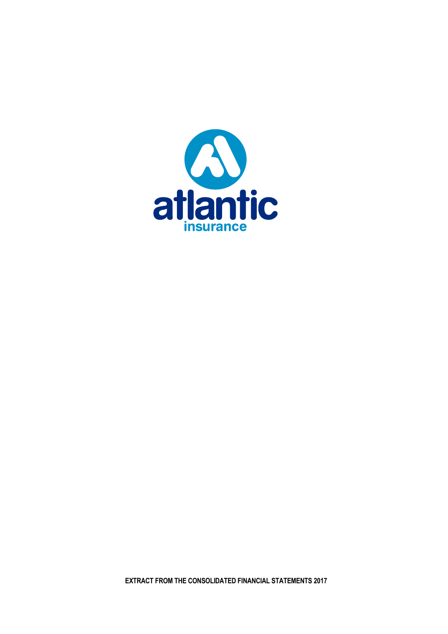

**EXTRACT FROM THE CONSOLIDATED FINANCIAL STATEMENTS 2017**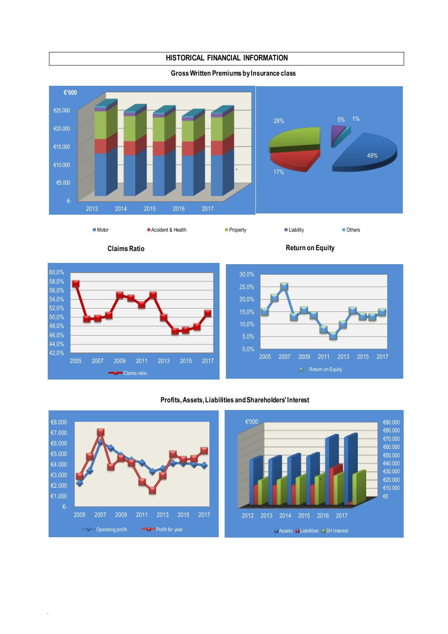**HISTORICAL FINANCIAL INFORMATION**

**Gross Written Premiums by Insurance class**



.

**Claims Ratio Return on Equity** 



# **Profits, Assets, Liabilities and Shareholders' Interest**

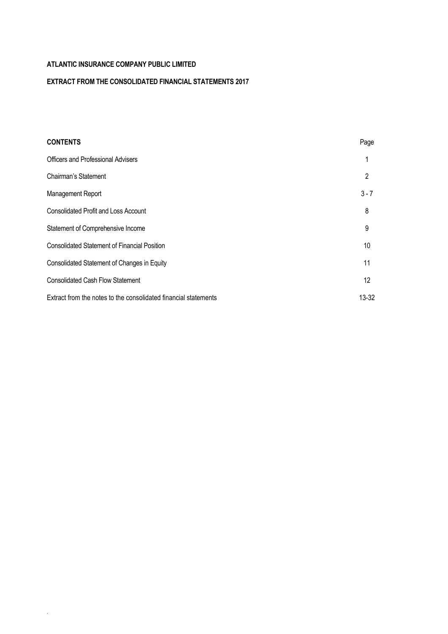.

# **EXTRACT FROM THE CONSOLIDATED FINANCIAL STATEMENTS 2017**

| <b>CONTENTS</b>                                                 | Page              |
|-----------------------------------------------------------------|-------------------|
| <b>Officers and Professional Advisers</b>                       |                   |
| Chairman's Statement                                            | 2                 |
| Management Report                                               | $3 - 7$           |
| <b>Consolidated Profit and Loss Account</b>                     | 8                 |
| Statement of Comprehensive Income                               | 9                 |
| <b>Consolidated Statement of Financial Position</b>             | 10                |
| Consolidated Statement of Changes in Equity                     | 11                |
| <b>Consolidated Cash Flow Statement</b>                         | $12 \overline{ }$ |
| Extract from the notes to the consolidated financial statements | 13-32             |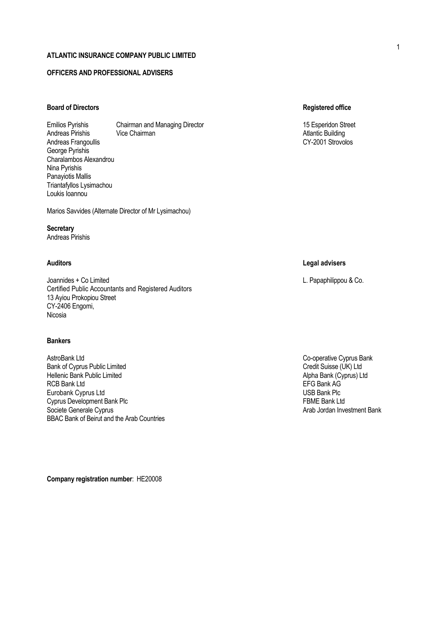# **OFFICERS AND PROFESSIONAL ADVISERS**

# **Board of Directors Registered office**

Emilios Pyrishis Chairman and Managing Director 15 Esperidon Street 15 Esperidon Street Andreas Pirishis Vice Chairman Atlantic Building Andreas Frangoullis George Pyrishis Charalambos Alexandrou Nina Pyrishis Panayiotis Mallis Triantafyllos Lysimachou Loukis Ioannou

Marios Savvides (Alternate Director of Mr Lysimachou)

### **Secretary** Andreas Pirishis

Joannides + Co Limited L. Papaphilippou & Co. Certified Public Accountants and Registered Auditors 13 Ayiou Prokopiou Street CY-2406 Engomi, Nicosia

# **Bankers**

AstroBank Ltd<br>
Bank of Cyprus Public Limited<br>
Co-operative Cyprus Bank<br>
Credit Suisse (UK) Ltd Bank of Cyprus Public Limited<br>
Hellenic Bank Public Limited<br>
Hellenic Bank (Cyprus) Ltd Hellenic Bank Public Limited<br>RCB Bank Ltd<br>RCB Bank Ltd RCB Bank Ltd<br>
EFG Bank AG<br>
Eurobank Cvorus Ltd Eurobank Cyprus Ltd<br>
Cyprus Development Bank Plc<br>
Cyprus Development Bank Plc Cyprus Development Bank Plc Societe Generale Cyprus **Arab Jordan Investment Bank** Arab Jordan Investment Bank BBAC Bank of Beirut and the Arab Countries

**Company registration number**: ΗΕ20008

# **Auditors Legal advisers**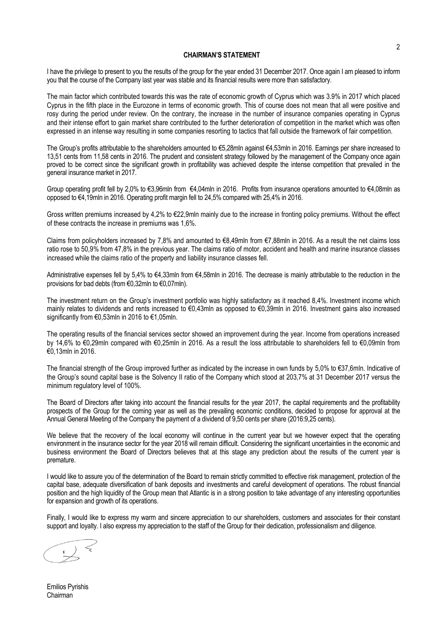### **CHAIRMAN'S STATEMENT**

I have the privilege to present to you the results of the group for the year ended 31 December 2017. Once again I am pleased to inform you that the course of the Company last year was stable and its financial results were more than satisfactory.

The main factor which contributed towards this was the rate of economic growth of Cyprus which was 3.9% in 2017 which placed Cyprus in the fifth place in the Eurozone in terms of economic growth. This of course does not mean that all were positive and rosy during the period under review. On the contrary, the increase in the number of insurance companies operating in Cyprus and their intense effort to gain market share contributed to the further deterioration of competition in the market which was often expressed in an intense way resulting in some companies resorting to tactics that fall outside the framework of fair competition.

The Group's profits attributable to the shareholders amounted to €5,28mln against €4,53mln in 2016. Earnings per share increased to 13,51 cents from 11,58 cents in 2016. The prudent and consistent strategy followed by the management of the Company once again proved to be correct since the significant growth in profitability was achieved despite the intense competition that prevailed in the general insurance market in 2017.

Group operating profit fell by 2,0% to €3,96mln from €4,04mln in 2016. Profits from insurance operations amounted to €4,08mln as opposed to €4,19mln in 2016. Operating profit margin fell to 24,5% compared with 25,4% in 2016.

Gross written premiums increased by 4,2% to €22,9mln mainly due to the increase in fronting policy premiums. Without the effect of these contracts the increase in premiums was 1,6%.

Claims from policyholders increased by 7,8% and amounted to €8,49mln from  $€7,88$ mln in 2016. As a result the net claims loss ratio rose to 50,9% from 47,8% in the previous year. The claims ratio of motor, accident and health and marine insurance classes increased while the claims ratio of the property and liability insurance classes fell.

Administrative expenses fell by 5,4% to €4,33mln from €4,58mln in 2016. The decrease is mainly attributable to the reduction in the provisions for bad debts (from €0,32mln to €0,07mln).

The investment return on the Group's investment portfolio was highly satisfactory as it reached 8,4%. Investment income which mainly relates to dividends and rents increased to €0,43mln as opposed to €0,39mln in 2016. Investment gains also increased significantly from €0,53mln in 2016 to €1,05mln.

The operating results of the financial services sector showed an improvement during the year. Income from operations increased by 14,6% to €0,29mln compared with €0,25mln in 2016. As a result the loss attributable to shareholders fell to €0,09mln from €0,13mln in 2016.

The financial strength of the Group improved further as indicated by the increase in own funds by 5,0% to €37,6mln. Indicative of the Group's sound capital base is the Solvency II ratio of the Company which stood at 203,7% at 31 December 2017 versus the minimum regulatory level of 100%.

The Board of Directors after taking into account the financial results for the year 2017, the capital requirements and the profitability prospects of the Group for the coming year as well as the prevailing economic conditions, decided to propose for approval at the Annual General Meeting of the Company the payment of a dividend of 9,50 cents per share (2016:9,25 cents).

We believe that the recovery of the local economy will continue in the current year but we however expect that the operating environment in the insurance sector for the year 2018 will remain difficult. Considering the significant uncertainties in the economic and business environment the Board of Directors believes that at this stage any prediction about the results of the current year is premature.

I would like to assure you of the determination of the Board to remain strictly committed to effective risk management, protection of the capital base, adequate diversification of bank deposits and investments and careful development of operations. The robust financial position and the high liquidity of the Group mean that Atlantic is in a strong position to take advantage of any interesting opportunities for expansion and growth of its operations.

Finally, I would like to express my warm and sincere appreciation to our shareholders, customers and associates for their constant support and loyalty. I also express my appreciation to the staff of the Group for their dedication, professionalism and diligence.

Emilios Pyrishis Chairman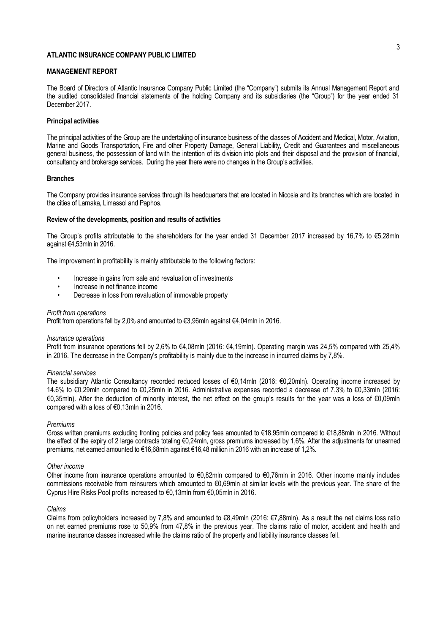### **MANAGEMENT REPORT**

The Board of Directors of Atlantic Insurance Company Public Limited (the "Company") submits its Annual Management Report and the audited consolidated financial statements of the holding Company and its subsidiaries (the "Group") for the year ended 31 December 2017.

### **Principal activities**

The principal activities of the Group are the undertaking of insurance business of the classes of Accident and Medical, Motor, Aviation, Marine and Goods Transportation, Fire and other Property Damage, General Liability, Credit and Guarantees and miscellaneous general business, the possession of land with the intention of its division into plots and their disposal and the provision of financial, consultancy and brokerage services. During the year there were no changes in the Group's activities.

### **Branches**

The Company provides insurance services through its headquarters that are located in Nicosia and its branches which are located in the cities of Larnaka, Limassol and Paphos.

### **Review of the developments, position and results of activities**

The Group's profits attributable to the shareholders for the year ended 31 December 2017 increased by 16,7% to €5,28mln against €4,53mln in 2016.

The improvement in profitability is mainly attributable to the following factors:

- Increase in gains from sale and revaluation of investments
- Increase in net finance income
- Decrease in loss from revaluation of immovable property

#### *Profit from operations*

Profit from operations fell by 2,0% and amounted to €3,96mln against €4,04mln in 2016.

#### *Insurance operations*

Profit from insurance operations fell by 2,6% to €4,08mln (2016: €4,19mln). Operating margin was 24,5% compared with 25,4% in 2016. The decrease in the Company's profitability is mainly due to the increase in incurred claims by 7,8%.

#### *Financial services*

The subsidiary Atlantic Consultancy recorded reduced losses of €0,14mln (2016: €0,20mln). Operating income increased by 14.6% to €0,29mln compared to €0,25mln in 2016. Administrative expenses recorded a decrease of 7,3% to €0,33mln (2016: €0,35mln). After the deduction of minority interest, the net effect on the group's results for the year was a loss of €0,09mln compared with a loss of €0,13mln in 2016.

#### *Premiums*

Gross written premiums excluding fronting policies and policy fees amounted to €18,95mln compared to €18,88mln in 2016. Without the effect of the expiry of 2 large contracts totaling €0,24mln, gross premiums increased by 1,6%. After the adjustments for unearned premiums, net earned amounted to €16,68mln against €16,48 million in 2016 with an increase of 1,2%.

#### *Other income*

Other income from insurance operations amounted to €0,82mln compared to €0,76mln in 2016. Other income mainly includes commissions receivable from reinsurers which amounted to €0,69mln at similar levels with the previous year. The share of the Cyprus Hire Risks Pool profits increased to €0,13mln from €0,05mln in 2016.

#### *Claims*

Claims from policyholders increased by 7,8% and amounted to €8,49mln (2016: €7,88mln). As a result the net claims loss ratio on net earned premiums rose to 50,9% from 47,8% in the previous year. The claims ratio of motor, accident and health and marine insurance classes increased while the claims ratio of the property and liability insurance classes fell.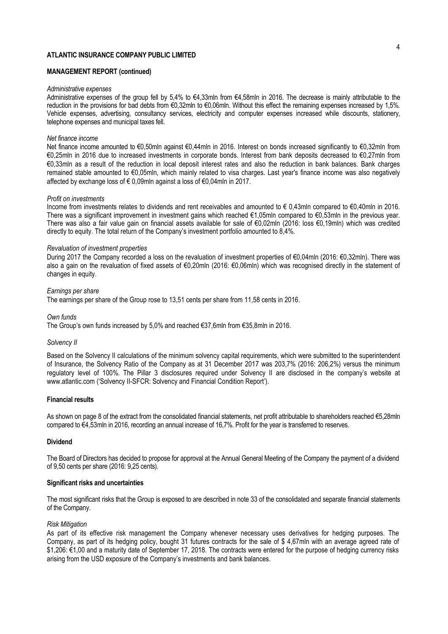### **MANAGEMENT REPORT (continued)**

#### *Administrative expenses*

Administrative expenses of the group fell by 5,4% to €4,33mln from €4,58mln in 2016. The decrease is mainly attributable to the reduction in the provisions for bad debts from €0,32mln to €0,06mln. Without this effect the remaining expenses increased by 1,5%. Vehicle expenses, advertising, consultancy services, electricity and computer expenses increased while discounts, stationery, telephone expenses and municipal taxes fell.

### *Net finance income*

Net finance income amounted to €0,50mln against €0,44mln in 2016. Interest on bonds increased significantly to €0,32mln from €0,25mln in 2016 due to increased investments in corporate bonds. Interest from bank deposits decreased to €0,27mln from €0,33mln as a result of the reduction in local deposit interest rates and also the reduction in bank balances. Bank charges remained stable amounted to €0,05mln, which mainly related to visa charges. Last year's finance income was also negatively affected by exchange loss of € 0,09mln against a loss of €0,04mln in 2017.

#### *Profit on investments*

Income from investments relates to dividends and rent receivables and amounted to € 0,43mln compared to €0,40mln in 2016. There was a significant improvement in investment gains which reached €1,05mln compared to €0,53mln in the previous year. There was also a fair value gain on financial assets available for sale of €0,02mln (2016: loss €0,19mln) which was credited directly to equity. The total return of the Company's investment portfolio amounted to 8,4%.

#### *Revaluation of investment properties*

During 2017 the Company recorded a loss on the revaluation of investment properties of €0,04mln (2016: €0,32mln). There was also a gain on the revaluation of fixed assets of €0,20mln (2016: €0,06mln) which was recognised directly in the statement of changes in equity.

#### *Earnings per share*

The earnings per share of the Group rose to 13,51 cents per share from 11,58 cents in 2016.

#### *Own funds*

The Group's own funds increased by 5,0% and reached €37,6mln from €35,8mln in 2016.

### *Solvency II*

Based on the Solvency II calculations of the minimum solvency capital requirements, which were submitted to the superintendent of Insurance, the Solvency Ratio of the Company as at 31 December 2017 was 203,7% (2016: 206,2%) versus the minimum regulatory level of 100%. The Pillar 3 disclosures required under Solvency II are disclosed in the company's website at www.atlantic.com ('Solvency II-SFCR: Solvency and Financial Condition Report').

### **Financial results**

As shown on page 8 of the extract from the consolidated financial statements, net profit attributable to shareholders reached €5,28mln compared to €4,53mln in 2016, recording an annual increase of 16,7%. Profit for the year is transferred to reserves.

### **Dividend**

The Board of Directors has decided to propose for approval at the Annual General Meeting of the Company the payment of a dividend of 9,50 cents per share (2016: 9,25 cents).

### **Significant risks and uncertainties**

The most significant risks that the Group is exposed to are described in note 33 of the consolidated and separate financial statements of the Company.

### *Risk Mitigation*

As part of its effective risk management the Company whenever necessary uses derivatives for hedging purposes. The Company, as part of its hedging policy, bought 31 futures contracts for the sale of \$ 4,67mln with an average agreed rate of \$1,206: €1,00 and a maturity date of September 17, 2018. The contracts were entered for the purpose of hedging currency risks arising from the USD exposure of the Company's investments and bank balances.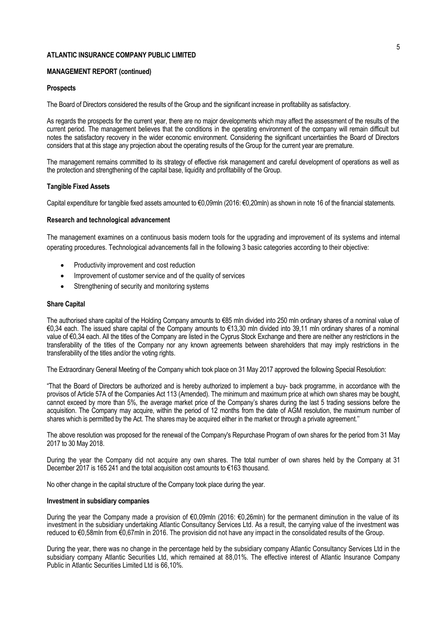### **MANAGEMENT REPORT (continued)**

### **Prospects**

The Board of Directors considered the results of the Group and the significant increase in profitability as satisfactory.

As regards the prospects for the current year, there are no major developments which may affect the assessment of the results of the current period. The management believes that the conditions in the operating environment of the company will remain difficult but notes the satisfactory recovery in the wider economic environment. Considering the significant uncertainties the Board of Directors considers that at this stage any projection about the operating results of the Group for the current year are premature.

The management remains committed to its strategy of effective risk management and careful development of operations as well as the protection and strengthening of the capital base, liquidity and profitability of the Group.

### **Tangible Fixed Assets**

Capital expenditure for tangible fixed assets amounted to €0,09mln (2016: €0,20mln) as shown in note 16 of the financial statements.

### **Research and technological advancement**

The management examines on a continuous basis modern tools for the upgrading and improvement of its systems and internal operating procedures. Technological advancements fall in the following 3 basic categories according to their objective:

- Productivity improvement and cost reduction
- Improvement of customer service and of the quality of services
- Strengthening of security and monitoring systems

#### **Share Capital**

The authorised share capital of the Holding Company amounts to €85 mln divided into 250 mln ordinary shares of a nominal value of €0,34 each. The issued share capital of the Company amounts to €13,30 mln divided into 39,11 mln ordinary shares of a nominal value of €0,34 each. All the titles of the Company are listed in the Cyprus Stock Exchange and there are neither any restrictions in the transferability of the titles of the Company nor any known agreements between shareholders that may imply restrictions in the transferability of the titles and/or the voting rights.

The Extraordinary General Meeting of the Company which took place on 31 May 2017 approved the following Special Resolution:

"That the Board of Directors be authorized and is hereby authorized to implement a buy- back programme, in accordance with the provisos of Article 57A of the Companies Act 113 (Amended). The minimum and maximum price at which own shares may be bought, cannot exceed by more than 5%, the average market price of the Company's shares during the last 5 trading sessions before the acquisition. The Company may acquire, within the period of 12 months from the date of AGM resolution, the maximum number of shares which is permitted by the Act. The shares may be acquired either in the market or through a private agreement.''

The above resolution was proposed for the renewal of the Company's Repurchase Program of own shares for the period from 31 May 2017 to 30 May 2018.

During the year the Company did not acquire any own shares. The total number of own shares held by the Company at 31 December 2017 is 165 241 and the total acquisition cost amounts to €163 thousand.

No other change in the capital structure of the Company took place during the year.

### **Investment in subsidiary companies**

During the year the Company made a provision of €0,09mln (2016: €0,26mln) for the permanent diminution in the value of its investment in the subsidiary undertaking Atlantic Consultancy Services Ltd. As a result, the carrying value of the investment was reduced to €0,58mln from €0,67mln in 2016. The provision did not have any impact in the consolidated results of the Group.

During the year, there was no change in the percentage held by the subsidiary company Atlantic Consultancy Services Ltd in the subsidiary company Atlantic Securities Ltd, which remained at 88,01%. The effective interest of Atlantic Insurance Company Public in Atlantic Securities Limited Ltd is 66,10%.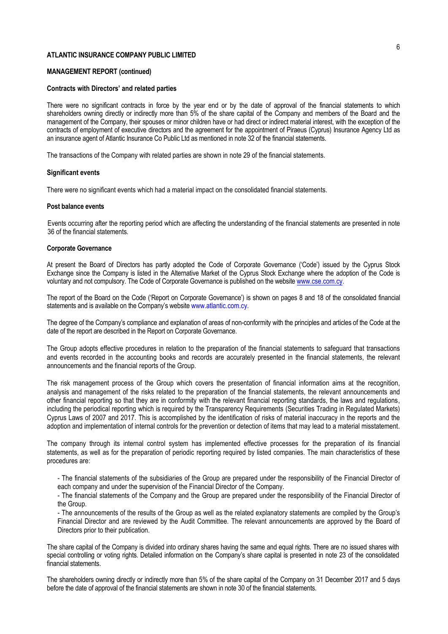### **MANAGEMENT REPORT (continued)**

### **Contracts with Directors' and related parties**

There were no significant contracts in force by the year end or by the date of approval of the financial statements to which shareholders owning directly or indirectly more than 5% of the share capital of the Company and members of the Board and the management of the Company, their spouses or minor children have or had direct or indirect material interest, with the exception of the contracts of employment of executive directors and the agreement for the appointment of Piraeus (Cyprus) Insurance Agency Ltd as an insurance agent of Atlantic Insurance Co Public Ltd as mentioned in note 32 of the financial statements.

The transactions of the Company with related parties are shown in note 29 of the financial statements.

#### **Significant events**

There were no significant events which had a material impact on the consolidated financial statements.

### **Post balance events**

Events occurring after the reporting period which are affecting the understanding of the financial statements are presented in note 36 of the financial statements.

### **Corporate Governance**

At present the Board of Directors has partly adopted the Code of Corporate Governance ('Code') issued by the Cyprus Stock Exchange since the Company is listed in the Alternative Market of the Cyprus Stock Exchange where the adoption of the Code is voluntary and not compulsory. The Code of Corporate Governance is published on the websit[e www.cse.com.cy.](http://www.cse.com.cy/)

The report of the Board on the Code ('Report on Corporate Governance') is shown on pages 8 and 18 of the consolidated financial statements and is available on the Company's website www.atlantic.com.cy.

The degree of the Company's compliance and explanation of areas of non-conformity with the principles and articles of the Code at the date of the report are described in the Report on Corporate Governance.

The Group adopts effective procedures in relation to the preparation of the financial statements to safeguard that transactions and events recorded in the accounting books and records are accurately presented in the financial statements, the relevant announcements and the financial reports of the Group.

The risk management process of the Group which covers the presentation of financial information aims at the recognition, analysis and management of the risks related to the preparation of the financial statements, the relevant announcements and other financial reporting so that they are in conformity with the relevant financial reporting standards, the laws and regulations, including the periodical reporting which is required by the Transparency Requirements (Securities Trading in Regulated Markets) Cyprus Laws of 2007 and 2017. This is accomplished by the identification of risks of material inaccuracy in the reports and the adoption and implementation of internal controls for the prevention or detection of items that may lead to a material misstatement.

The company through its internal control system has implemented effective processes for the preparation of its financial statements, as well as for the preparation of periodic reporting required by listed companies. The main characteristics of these procedures are:

- The financial statements of the subsidiaries of the Group are prepared under the responsibility of the Financial Director of each company and under the supervision of the Financial Director of the Company.

- The financial statements of the Company and the Group are prepared under the responsibility of the Financial Director of the Group.

- The announcements of the results of the Group as well as the related explanatory statements are compiled by the Group's Financial Director and are reviewed by the Audit Committee. The relevant announcements are approved by the Board of Directors prior to their publication.

The share capital of the Company is divided into ordinary shares having the same and equal rights. There are no issued shares with special controlling or voting rights. Detailed information on the Company's share capital is presented in note 23 of the consolidated financial statements.

The shareholders owning directly or indirectly more than 5% of the share capital of the Company on 31 December 2017 and 5 days before the date of approval of the financial statements are shown in note 30 of the financial statements.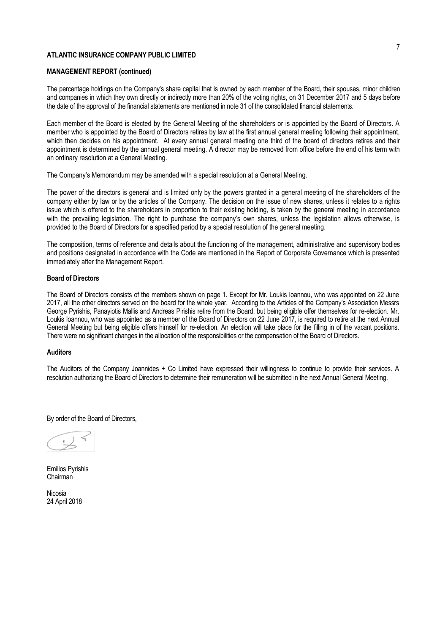### **MANAGEMENT REPORT (continued)**

The percentage holdings on the Company's share capital that is owned by each member of the Board, their spouses, minor children and companies in which they own directly or indirectly more than 20% of the voting rights, on 31 December 2017 and 5 days before the date of the approval of the financial statements are mentioned in note 31 of the consolidated financial statements.

Each member of the Board is elected by the General Meeting of the shareholders or is appointed by the Board of Directors. A member who is appointed by the Board of Directors retires by law at the first annual general meeting following their appointment, which then decides on his appointment. At every annual general meeting one third of the board of directors retires and their appointment is determined by the annual general meeting. A director may be removed from office before the end of his term with an ordinary resolution at a General Meeting.

The Company's Memorandum may be amended with a special resolution at a General Meeting.

The power of the directors is general and is limited only by the powers granted in a general meeting of the shareholders of the company either by law or by the articles of the Company. The decision on the issue of new shares, unless it relates to a rights issue which is offered to the shareholders in proportion to their existing holding, is taken by the general meeting in accordance with the prevailing legislation. The right to purchase the company's own shares, unless the legislation allows otherwise, is provided to the Board of Directors for a specified period by a special resolution of the general meeting.

The composition, terms of reference and details about the functioning of the management, administrative and supervisory bodies and positions designated in accordance with the Code are mentioned in the Report of Corporate Governance which is presented immediately after the Management Report.

### **Board of Directors**

The Board of Directors consists of the members shown on page 1. Except for Mr. Loukis Ioannou, who was appointed on 22 June 2017, all the other directors served on the board for the whole year. According to the Articles of the Company's Association Messrs George Pyrishis, Panayiotis Mallis and Andreas Pirishis retire from the Board, but being eligible offer themselves for re-election. Mr. Loukis Ioannou, who was appointed as a member of the Board of Directors on 22 June 2017, is required to retire at the next Annual General Meeting but being eligible offers himself for re-election. An election will take place for the filling in of the vacant positions. There were no significant changes in the allocation of the responsibilities or the compensation of the Board of Directors.

#### **Auditors**

The Auditors of the Company Joannides + Co Limited have expressed their willingness to continue to provide their services. A resolution authorizing the Board of Directors to determine their remuneration will be submitted in the next Annual General Meeting.

By order of the Board of Directors,

Emilios Pyrishis Chairman

Nicosia 24 April 2018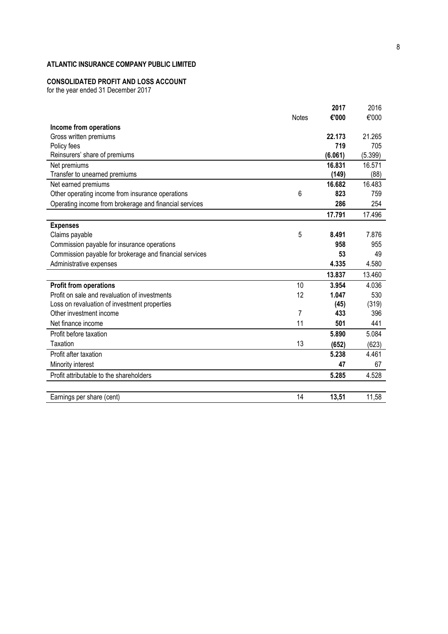### **CONSOLIDATED PROFIT AND LOSS ACCOUNT**

for the year ended 31 December 2017

| Income from operations                                  | <b>Notes</b> | 2017<br>€'000 | 2016<br>€'000 |
|---------------------------------------------------------|--------------|---------------|---------------|
| Gross written premiums                                  |              | 22.173        | 21.265        |
| Policy fees                                             |              | 719           | 705           |
| Reinsurers' share of premiums                           |              | (6.061)       | (5.399)       |
| Net premiums                                            |              | 16.831        | 16.571        |
| Transfer to unearned premiums                           |              | (149)         | (88)          |
| Net earned premiums                                     |              | 16.682        | 16.483        |
| Other operating income from insurance operations        | 6            | 823           | 759           |
| Operating income from brokerage and financial services  |              | 286           | 254           |
|                                                         |              | 17.791        | 17.496        |
| <b>Expenses</b>                                         |              |               |               |
| Claims payable                                          | 5            | 8.491         | 7.876         |
| Commission payable for insurance operations             |              | 958           | 955           |
| Commission payable for brokerage and financial services |              | 53            | 49            |
| Administrative expenses                                 |              | 4.335         | 4.580         |
|                                                         |              | 13.837        | 13.460        |
| <b>Profit from operations</b>                           | 10           | 3.954         | 4.036         |
| Profit on sale and revaluation of investments           | 12           | 1.047         | 530           |
| Loss on revaluation of investment properties            |              | (45)          | (319)         |
| Other investment income                                 | 7            | 433           | 396           |
| Net finance income                                      | 11           | 501           | 441           |
| Profit before taxation                                  |              | 5.890         | 5.084         |
| Taxation                                                | 13           | (652)         | (623)         |
| Profit after taxation                                   |              | 5.238         | 4.461         |
| Minority interest                                       |              | 47            | 67            |
| Profit attributable to the shareholders                 |              | 5.285         | 4.528         |
|                                                         |              |               |               |
| Earnings per share (cent)                               | 14           | 13,51         | 11,58         |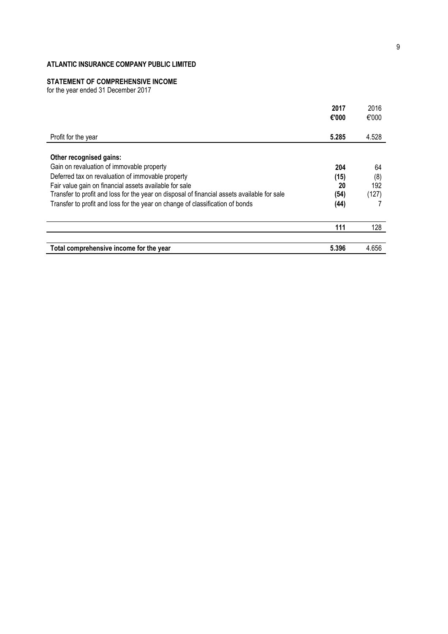#### **STATEMENT OF COMPREHENSIVE INCOME**

for the year ended 31 December 2017

|                                                                                             | 2017<br>€'000 | 2016<br>€'000 |
|---------------------------------------------------------------------------------------------|---------------|---------------|
| Profit for the year                                                                         | 5.285         | 4.528         |
| Other recognised gains:                                                                     |               |               |
| Gain on revaluation of immovable property                                                   | 204           | 64            |
| Deferred tax on revaluation of immovable property                                           | (15)          | (8)           |
| Fair value gain on financial assets available for sale                                      | 20            | 192           |
| Transfer to profit and loss for the year on disposal of financial assets available for sale | (54)          | (127)         |
| Transfer to profit and loss for the year on change of classification of bonds               | (44)          |               |
|                                                                                             | 111           | 128           |
| Total comprehensive income for the year                                                     | 5.396         | 4.656         |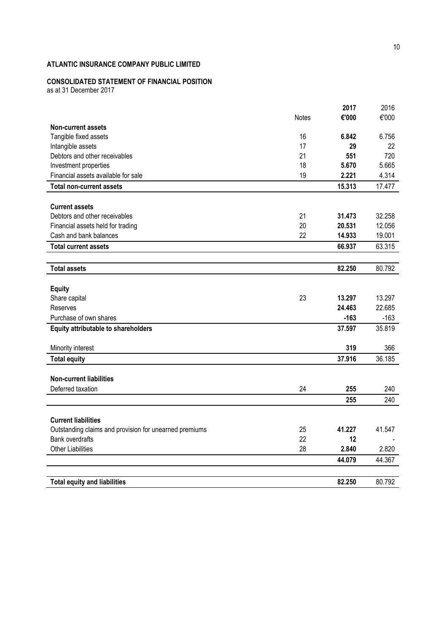# **CONSOLIDATED STATEMENT OF FINANCIAL POSITION**

as at 31 December 2017

|                                                        |              | 2017   | 2016   |
|--------------------------------------------------------|--------------|--------|--------|
|                                                        | <b>Notes</b> | €'000  | €'000  |
| <b>Non-current assets</b>                              |              |        |        |
| Tangible fixed assets                                  | 16           | 6.842  | 6.756  |
| Intangible assets                                      | 17           | 29     | 22     |
| Debtors and other receivables                          | 21           | 551    | 720    |
| Investment properties                                  | 18           | 5.670  | 5.665  |
| Financial assets available for sale                    | 19           | 2.221  | 4.314  |
| <b>Total non-current assets</b>                        |              | 15.313 | 17.477 |
|                                                        |              |        |        |
| <b>Current assets</b>                                  |              |        |        |
| Debtors and other receivables                          | 21           | 31.473 | 32.258 |
| Financial assets held for trading                      | 20           | 20.531 | 12.056 |
| Cash and bank balances                                 | 22           | 14.933 | 19.001 |
| <b>Total current assets</b>                            |              | 66.937 | 63.315 |
|                                                        |              |        |        |
| <b>Total assets</b>                                    |              | 82.250 | 80.792 |
|                                                        |              |        |        |
| <b>Equity</b>                                          |              |        |        |
| Share capital                                          | 23           | 13.297 | 13.297 |
| Reserves                                               |              | 24.463 | 22.685 |
| Purchase of own shares                                 |              | $-163$ | $-163$ |
| Equity attributable to shareholders                    |              | 37.597 | 35.819 |
|                                                        |              |        |        |
| Minority interest                                      |              | 319    | 366    |
| <b>Total equity</b>                                    |              | 37.916 | 36.185 |
| <b>Non-current liabilities</b>                         |              |        |        |
| Deferred taxation                                      | 24           | 255    | 240    |
|                                                        |              | 255    | 240    |
|                                                        |              |        |        |
| <b>Current liabilities</b>                             |              |        |        |
| Outstanding claims and provision for unearned premiums | 25           | 41.227 | 41.547 |
| <b>Bank overdrafts</b>                                 | 22           | 12     |        |
| <b>Other Liabilities</b>                               | 28           | 2.840  | 2.820  |
|                                                        |              | 44.079 | 44.367 |
|                                                        |              |        |        |
| <b>Total equity and liabilities</b>                    |              | 82.250 | 80.792 |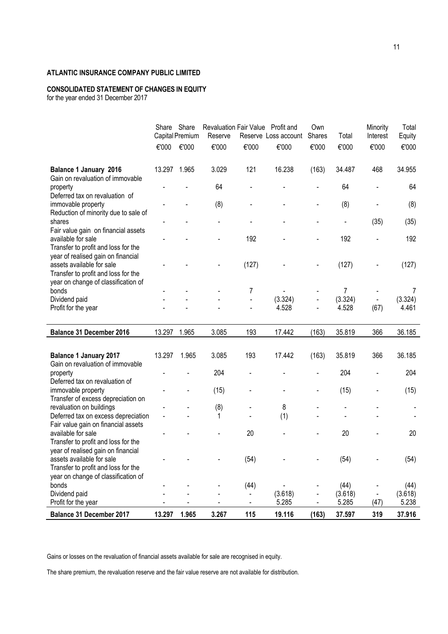# **CONSOLIDATED STATEMENT OF CHANGES IN EQUITY**

for the year ended 31 December 2017

|                                                                                                        |              | Share Share<br>Capital Premium | Revaluation Fair Value Profit and<br>Reserve |                     | Reserve Loss account | Own<br>Shares            | Total                     | Minority<br>Interest | Total<br>Equity |
|--------------------------------------------------------------------------------------------------------|--------------|--------------------------------|----------------------------------------------|---------------------|----------------------|--------------------------|---------------------------|----------------------|-----------------|
|                                                                                                        | €'000        | €'000                          | €'000                                        | €'000               | €'000                | €'000                    | €'000                     | €'000                | €'000           |
| <b>Balance 1 January 2016</b><br>Gain on revaluation of immovable                                      | 13.297 1.965 |                                | 3.029                                        | 121                 | 16.238               | (163)                    | 34.487                    | 468                  | 34.955          |
| property<br>Deferred tax on revaluation of                                                             |              |                                | 64                                           | ÷,                  |                      |                          | 64                        |                      | 64              |
| immovable property<br>Reduction of minority due to sale of                                             |              |                                | (8)                                          |                     |                      |                          | (8)                       |                      | (8)             |
| shares                                                                                                 |              |                                |                                              |                     |                      |                          |                           | (35)                 | (35)            |
| Fair value gain on financial assets<br>available for sale<br>Transfer to profit and loss for the       |              |                                |                                              | 192                 |                      |                          | 192                       |                      | 192             |
| year of realised gain on financial<br>assets available for sale<br>Transfer to profit and loss for the |              |                                |                                              | (127)               |                      |                          | (127)                     |                      | (127)           |
| year on change of classification of                                                                    |              |                                |                                              |                     |                      |                          |                           |                      |                 |
| bonds                                                                                                  |              |                                |                                              | 7<br>$\blacksquare$ | (3.324)              |                          | $\overline{7}$<br>(3.324) |                      | 7<br>(3.324)    |
| Dividend paid<br>Profit for the year                                                                   |              |                                |                                              | ä,                  | 4.528                | $\blacksquare$           | 4.528                     | (67)                 | 4.461           |
|                                                                                                        |              |                                |                                              |                     |                      |                          |                           |                      |                 |
| <b>Balance 31 December 2016</b>                                                                        | 13.297 1.965 |                                | 3.085                                        | 193                 | 17.442               | (163)                    | 35.819                    | 366                  | 36.185          |
|                                                                                                        |              |                                |                                              |                     |                      |                          |                           |                      |                 |
| <b>Balance 1 January 2017</b><br>Gain on revaluation of immovable                                      | 13.297       | 1.965                          | 3.085                                        | 193                 | 17.442               | (163)                    | 35.819                    | 366                  | 36.185          |
| property<br>Deferred tax on revaluation of                                                             |              |                                | 204                                          |                     |                      |                          | 204                       |                      | 204             |
| immovable property<br>Transfer of excess depreciation on                                               |              |                                | (15)                                         |                     |                      |                          | (15)                      |                      | (15)            |
| revaluation on buildings                                                                               |              |                                | (8)                                          |                     | 8                    |                          |                           |                      |                 |
| Deferred tax on excess depreciation                                                                    |              |                                | 1                                            |                     | (1)                  |                          |                           |                      |                 |
| Fair value gain on financial assets                                                                    |              |                                |                                              |                     |                      |                          |                           |                      |                 |
| available for sale                                                                                     |              |                                |                                              | 20                  |                      |                          | 20                        |                      | 20              |
| Transfer to profit and loss for the                                                                    |              |                                |                                              |                     |                      |                          |                           |                      |                 |
| year of realised gain on financial                                                                     |              |                                |                                              |                     |                      |                          |                           |                      |                 |
| assets available for sale                                                                              |              |                                |                                              | (54)                |                      | $\overline{\phantom{a}}$ | (54)                      |                      | (54)            |
| Transfer to profit and loss for the<br>year on change of classification of                             |              |                                |                                              |                     |                      |                          |                           |                      |                 |
| bonds                                                                                                  |              |                                |                                              | (44)                |                      |                          | (44)                      |                      | (44)            |
| Dividend paid                                                                                          |              |                                |                                              |                     | (3.618)              |                          | (3.618)                   |                      | (3.618)         |
| Profit for the year                                                                                    |              |                                |                                              | $\blacksquare$      | 5.285                |                          | 5.285                     | (47)                 | 5.238           |
|                                                                                                        |              |                                |                                              |                     |                      |                          |                           |                      |                 |

Gains or losses on the revaluation of financial assets available for sale are recognised in equity.

The share premium, the revaluation reserve and the fair value reserve are not available for distribution.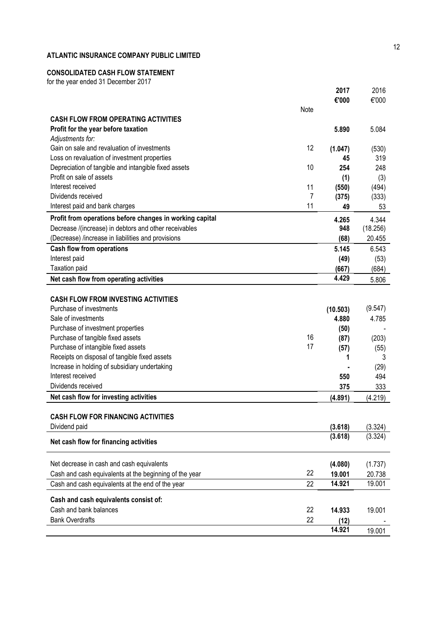# **CONSOLIDATED CASH FLOW STATEMENT**

for the year ended 31 December 2017

|                                                          |      | 2017             | 2016             |
|----------------------------------------------------------|------|------------------|------------------|
|                                                          |      | €'000            | €'000            |
|                                                          | Note |                  |                  |
| <b>CASH FLOW FROM OPERATING ACTIVITIES</b>               |      |                  |                  |
| Profit for the year before taxation                      |      | 5.890            | 5.084            |
| Adjustments for:                                         |      |                  |                  |
| Gain on sale and revaluation of investments              | 12   | (1.047)          | (530)            |
| Loss on revaluation of investment properties             |      | 45               | 319              |
| Depreciation of tangible and intangible fixed assets     | 10   | 254              | 248              |
| Profit on sale of assets                                 |      | (1)              | (3)              |
| Interest received                                        | 11   | (550)            | (494)            |
| Dividends received                                       | 7    | (375)            | (333)            |
| Interest paid and bank charges                           | 11   | 49               | 53               |
| Profit from operations before changes in working capital |      | 4.265            | 4.344            |
| Decrease /(increase) in debtors and other receivables    |      | 948              | (18.256)         |
| (Decrease) /increase in liabilities and provisions       |      | (68)             | 20.455           |
| <b>Cash flow from operations</b>                         |      | 5.145            | 6.543            |
| Interest paid                                            |      | (49)             | (53)             |
| <b>Taxation paid</b>                                     |      | (667)            | (684)            |
| Net cash flow from operating activities                  |      | 4.429            | 5.806            |
|                                                          |      |                  |                  |
| <b>CASH FLOW FROM INVESTING ACTIVITIES</b>               |      |                  |                  |
| Purchase of investments                                  |      | (10.503)         | (9.547)          |
| Sale of investments                                      |      | 4.880            | 4.785            |
| Purchase of investment properties                        |      | (50)             |                  |
| Purchase of tangible fixed assets                        | 16   | (87)             | (203)            |
| Purchase of intangible fixed assets                      | 17   | (57)             | (55)             |
| Receipts on disposal of tangible fixed assets            |      | 1                | 3                |
| Increase in holding of subsidiary undertaking            |      |                  | (29)             |
| Interest received                                        |      | 550              | 494              |
| Dividends received                                       |      | 375              | 333              |
| Net cash flow for investing activities                   |      | (4.891)          | (4.219)          |
|                                                          |      |                  |                  |
| <b>CASH FLOW FOR FINANCING ACTIVITIES</b>                |      |                  |                  |
| Dividend paid                                            |      | (3.618)          | (3.324)          |
|                                                          |      | (3.618)          | (3.324)          |
| Net cash flow for financing activities                   |      |                  |                  |
|                                                          |      |                  |                  |
| Net decrease in cash and cash equivalents                | 22   | (4.080)          | (1.737)          |
| Cash and cash equivalents at the beginning of the year   |      | 19.001<br>14.921 | 20.738<br>19.001 |
| Cash and cash equivalents at the end of the year         | 22   |                  |                  |
| Cash and cash equivalents consist of:                    |      |                  |                  |
| Cash and bank balances                                   | 22   | 14.933           | 19.001           |
| <b>Bank Overdrafts</b>                                   | 22   | (12)             |                  |
|                                                          |      | 14.921           | 19.001           |
|                                                          |      |                  |                  |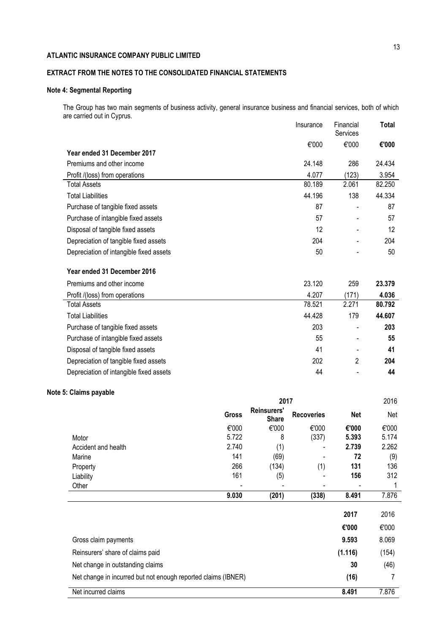# **EXTRACT FROM THE NOTES TO THE CONSOLIDATED FINANCIAL STATEMENTS**

# **Note 4: Segmental Reporting**

The Group has two main segments of business activity, general insurance business and financial services, both of which are carried out in Cyprus. Insurance Financial **Total**

|                                         | msurance | Financial<br>Services    | Total  |
|-----------------------------------------|----------|--------------------------|--------|
|                                         | €'000    | €'000                    | €'000  |
| Year ended 31 December 2017             |          |                          |        |
| Premiums and other income               | 24.148   | 286                      | 24.434 |
| Profit /(loss) from operations          | 4.077    | (123)                    | 3.954  |
| <b>Total Assets</b>                     | 80.189   | 2.061                    | 82.250 |
| <b>Total Liabilities</b>                | 44.196   | 138                      | 44.334 |
| Purchase of tangible fixed assets       | 87       |                          | 87     |
| Purchase of intangible fixed assets     | 57       |                          | 57     |
| Disposal of tangible fixed assets       | 12       | $\overline{\phantom{0}}$ | 12     |
| Depreciation of tangible fixed assets   | 204      |                          | 204    |
| Depreciation of intangible fixed assets | 50       |                          | 50     |
| Year ended 31 December 2016             |          |                          |        |
| Premiums and other income               | 23.120   | 259                      | 23.379 |
| Profit /(loss) from operations          | 4.207    | (171)                    | 4.036  |
| <b>Total Assets</b>                     | 78.521   | 2.271                    | 80.792 |
| <b>Total Liabilities</b>                | 44.428   | 179                      | 44.607 |
| Purchase of tangible fixed assets       | 203      | $\blacksquare$           | 203    |
| Purchase of intangible fixed assets     | 55       | $\overline{\phantom{0}}$ | 55     |
| Disposal of tangible fixed assets       | 41       | $\blacksquare$           | 41     |
| Depreciation of tangible fixed assets   | 202      | 2                        | 204    |
| Depreciation of intangible fixed assets | 44       |                          | 44     |

# **Note 5: Claims payable**

|                                                               | 2017  |                                    |                   |            | 2016  |
|---------------------------------------------------------------|-------|------------------------------------|-------------------|------------|-------|
|                                                               | Gross | <b>Reinsurers'</b><br><b>Share</b> | <b>Recoveries</b> | <b>Net</b> | Net   |
|                                                               | €'000 | €'000                              | €'000             | €'000      | €'000 |
| Motor                                                         | 5.722 | 8                                  | (337)             | 5.393      | 5.174 |
| Accident and health                                           | 2.740 | (1)                                |                   | 2.739      | 2.262 |
| Marine                                                        | 141   | (69)                               |                   | 72         | (9)   |
| Property                                                      | 266   | (134)                              | (1)               | 131        | 136   |
| Liability                                                     | 161   | (5)                                |                   | 156        | 312   |
| Other                                                         |       |                                    |                   |            | 1     |
|                                                               | 9.030 | (201)                              | (338)             | 8.491      | 7.876 |
|                                                               |       |                                    |                   | 2017       | 2016  |
|                                                               |       |                                    |                   | €'000      | €'000 |
| Gross claim payments                                          |       |                                    |                   | 9.593      | 8.069 |
| Reinsurers' share of claims paid                              |       |                                    |                   | (1.116)    | (154) |
| Net change in outstanding claims                              |       |                                    |                   | 30         | (46)  |
| Net change in incurred but not enough reported claims (IBNER) |       |                                    |                   | (16)       |       |
| Net incurred claims                                           |       |                                    |                   | 8.491      | 7.876 |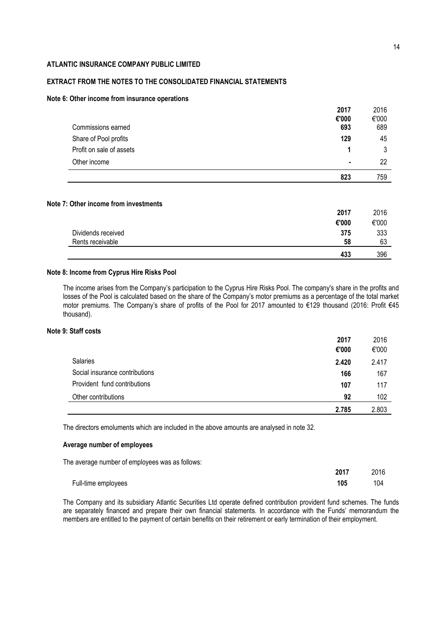# **EXTRACT FROM THE NOTES TO THE CONSOLIDATED FINANCIAL STATEMENTS**

### **Note 6: Other income from insurance operations**

|                          | 2017  | 2016  |
|--------------------------|-------|-------|
|                          | €'000 | €'000 |
| Commissions earned       | 693   | 689   |
| Share of Pool profits    | 129   | 45    |
| Profit on sale of assets |       | 3     |
| Other income             | ٠     | 22    |
|                          | 823   | 759   |

# **Note 7: Other income from investments**

|                    | 2017  | 2016  |
|--------------------|-------|-------|
|                    | €'000 | €'000 |
| Dividends received | 375   | 333   |
| Rents receivable   | 58    | 63    |
|                    | 433   | 396   |

### **Note 8: Income from Cyprus Hire Risks Pool**

The income arises from the Company's participation to the Cyprus Hire Risks Pool. The company's share in the profits and losses of the Pool is calculated based on the share of the Company's motor premiums as a percentage of the total market motor premiums. Τhe Company's share of profits οf the Pool for 2017 amounted to €129 thousand (2016: Profit €45 thousand).

# **Note 9: Staff costs**

|                                | 2017  | 2016  |
|--------------------------------|-------|-------|
|                                | €'000 | €'000 |
| Salaries                       | 2.420 | 2.417 |
| Social insurance contributions | 166   | 167   |
| Provident fund contributions   | 107   | 117   |
| Other contributions            | 92    | 102   |
|                                | 2.785 | 2.803 |

The directors emoluments which are included in the above amounts are analysed in note 32.

### **Average number of employees**

The average number of employees was as follows:

|                     | 2017 | 2016 |
|---------------------|------|------|
| Full-time employees | 105  | 104  |

The Company and its subsidiary Atlantic Securities Ltd operate defined contribution provident fund schemes. The funds are separately financed and prepare their own financial statements. In accordance with the Funds' memorandum the members are entitled to the payment of certain benefits on their retirement or early termination of their employment.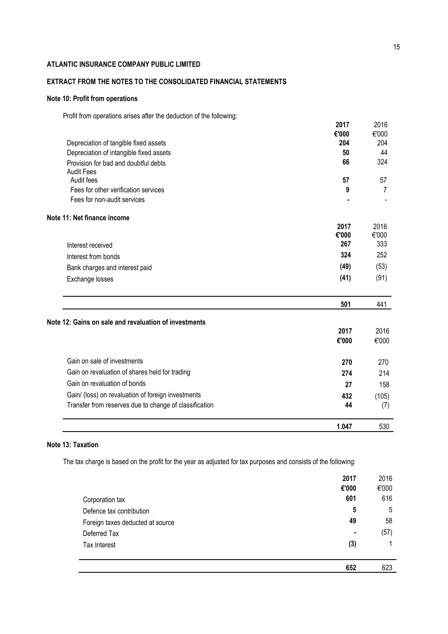# **EXTRACT FROM THE NOTES TO THE CONSOLIDATED FINANCIAL STATEMENTS**

# **Note 10: Profit from operations**

Profit from operations arises after the deduction of the following:

|                                                                                  | 2017         | 2016         |
|----------------------------------------------------------------------------------|--------------|--------------|
|                                                                                  | €'000<br>204 | €'000<br>204 |
| Depreciation of tangible fixed assets<br>Depreciation of intangible fixed assets | 50           | 44           |
| Provision for bad and doubtful debts                                             | 66           | 324          |
| <b>Audit Fees</b>                                                                |              |              |
| Audit fees                                                                       | 57           | 57           |
| Fees for other verification services                                             | 9            | 7            |
| Fees for non-audit services                                                      |              |              |
| Note 11: Net finance income                                                      |              |              |
|                                                                                  | 2017         | 2016         |
|                                                                                  | €'000<br>267 | €'000<br>333 |
| Interest received                                                                |              |              |
| Interest from bonds                                                              | 324          | 252          |
| Bank charges and interest paid                                                   | (49)         | (53)         |
| Exchange losses                                                                  | (41)         | (91)         |
|                                                                                  | 501          | 441          |
| Note 12: Gains on sale and revaluation of investments                            |              |              |
|                                                                                  | 2017         | 2016         |
|                                                                                  | €'000        | €'000        |
| Gain on sale of investments                                                      | 270          | 270          |
| Gain on revaluation of shares held for trading                                   | 274          | 214          |
| Gain on revaluation of bonds                                                     | 27           | 158          |
| Gain/ (loss) on revaluation of foreign investments                               | 432          | (105)        |
| Transfer from reserves due to change of classification                           | 44           | (7)          |
|                                                                                  | 1.047        | 530          |

# **Note 13: Taxation**

The tax charge is based on the profit for the year as adjusted for tax purposes and consists of the following:

|                                  | 2017<br>€'000 | 2016<br>€'000 |
|----------------------------------|---------------|---------------|
| Corporation tax                  | 601           | 616           |
| Defence tax contribution         | 5             | 5             |
| Foreign taxes deducted at source | 49            | 58            |
| Deferred Tax                     | ٠             | (57)          |
| Tax Interest                     | (3)           | 1             |
|                                  | 652           | 623           |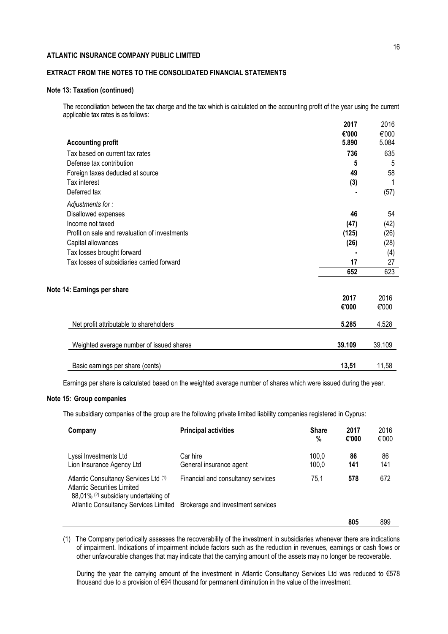# **EXTRACT FROM THE NOTES TO THE CONSOLIDATED FINANCIAL STATEMENTS**

### **Note 13: Taxation (continued)**

The reconciliation between the tax charge and the tax which is calculated on the accounting profit of the year using the current applicable tax rates is as follows:

|                                               | 2017           | 2016           |
|-----------------------------------------------|----------------|----------------|
| <b>Accounting profit</b>                      | €'000<br>5.890 | €'000<br>5.084 |
| Tax based on current tax rates                | 736            | 635            |
| Defense tax contribution                      | 5              | 5              |
| Foreign taxes deducted at source              | 49             | 58             |
| Tax interest                                  | (3)            | 1              |
| Deferred tax                                  |                | (57)           |
| Adjustments for:                              |                |                |
| Disallowed expenses                           | 46             | 54             |
| Income not taxed                              | (47)           | (42)           |
| Profit on sale and revaluation of investments | (125)          | (26)           |
| Capital allowances                            | (26)           | (28)           |
| Tax losses brought forward                    |                | (4)            |
| Tax losses of subsidiaries carried forward    | 17             | 27             |
|                                               | 652            | 623            |
| Note 14: Earnings per share                   |                |                |
|                                               | 2017           | 2016           |
|                                               | €'000          | €'000          |
| Net profit attributable to shareholders       | 5.285          | 4.528          |
| Weighted average number of issued shares      | 39.109         | 39.109         |
| Basic earnings per share (cents)              | 13,51          | 11,58          |
|                                               |                |                |

Earnings per share is calculated based on the weighted average number of shares which were issued during the year.

# **Note 15: Group companies**

The subsidiary companies of the group are the following private limited liability companies registered in Cyprus:

| Company                                                                                                      | <b>Principal activities</b>         | <b>Share</b><br>% | 2017<br>€'000 | 2016<br>€'000 |
|--------------------------------------------------------------------------------------------------------------|-------------------------------------|-------------------|---------------|---------------|
| Lyssi Investments Ltd<br>Lion Insurance Agency Ltd                                                           | Car hire<br>General insurance agent | 100.0<br>100,0    | 86<br>141     | 86<br>141     |
| Atlantic Consultancy Services Ltd (1)<br>Atlantic Securities Limited<br>88,01% (2) subsidiary undertaking of | Financial and consultancy services  | 75.1              | 578           | 672           |
| Atlantic Consultancy Services Limited Brokerage and investment services                                      |                                     |                   |               |               |
|                                                                                                              |                                     |                   | 805           | 899           |

(1) The Company periodically assesses the recoverability of the investment in subsidiaries whenever there are indications of impairment. Indications of impairment include factors such as the reduction in revenues, earnings or cash flows or other unfavourable changes that may indicate that the carrying amount of the assets may no longer be recoverable.

During the year the carrying amount of the investment in Atlantic Consultancy Services Ltd was reduced to €578 thousand due to a provision of €94 thousand for permanent diminution in the value of the investment.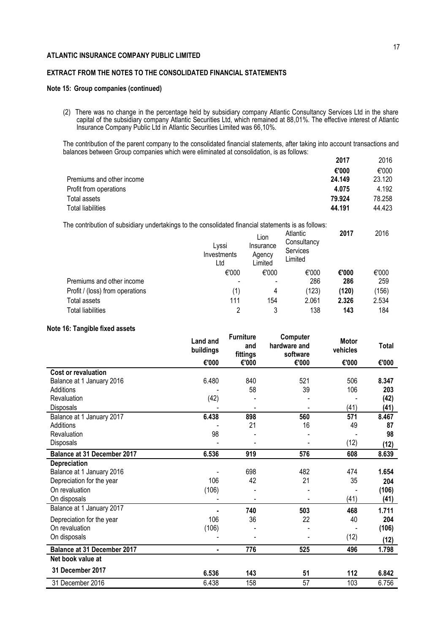# **EXTRACT FROM THE NOTES TO THE CONSOLIDATED FINANCIAL STATEMENTS**

### **Note 15: Group companies (continued)**

(2) There was no change in the percentage held by subsidiary company Atlantic Consultancy Services Ltd in the share capital of the subsidiary company Atlantic Securities Ltd, which remained at 88,01%. The effective interest of Atlantic Insurance Company Public Ltd in Atlantic Securities Limited was 66,10%.

The contribution of the parent company to the consolidated financial statements, after taking into account transactions and balances between Group companies which were eliminated at consolidation, is as follows: **2017** 2016

| <b>2017</b> | ZU I D |
|-------------|--------|
| €'000       | €'000  |
| 24.149      | 23.120 |
| 4.075       | 4.192  |
| 79.924      | 78.258 |
| 44.191      | 44.423 |
|             |        |

The contribution of subsidiary undertakings to the consolidated financial statements is as follows:

|                                 | Lyssi<br>Investments<br>Ltd | Lion<br>Insurance<br>Agency<br>Limited | Atlantic<br>Consultancy<br>Services<br>Limited | 2017  | 2016  |
|---------------------------------|-----------------------------|----------------------------------------|------------------------------------------------|-------|-------|
|                                 | €'000                       | €'000                                  | €'000                                          | €'000 | €'000 |
| Premiums and other income       |                             | $\overline{\phantom{0}}$               | 286                                            | 286   | 259   |
| Profit / (loss) from operations | (1)                         | 4                                      | (123)                                          | (120) | (156) |
| Total assets                    | 111                         | 154                                    | 2.061                                          | 2.326 | 2.534 |
| Total liabilities               | 2                           | 3                                      | 138                                            | 143   | 184   |

# **Note 16: Tangible fixed assets**

|                                    | <b>Land and</b><br>buildings | <b>Furniture</b><br>and<br>fittings | Computer<br>hardware and<br>software | <b>Motor</b><br>vehicles | Total |
|------------------------------------|------------------------------|-------------------------------------|--------------------------------------|--------------------------|-------|
|                                    | €'000                        | €'000                               | €'000                                | €'000                    | €'000 |
| Cost or revaluation                |                              |                                     |                                      |                          |       |
| Balance at 1 January 2016          | 6.480                        | 840                                 | 521                                  | 506                      | 8.347 |
| Additions                          |                              | 58                                  | 39                                   | 106                      | 203   |
| Revaluation                        | (42)                         |                                     |                                      |                          | (42)  |
| <b>Disposals</b>                   |                              |                                     |                                      | (41)                     | (41)  |
| Balance at 1 January 2017          | 6.438                        | 898                                 | 560                                  | 571                      | 8.467 |
| Additions                          |                              | 21                                  | 16                                   | 49                       | 87    |
| Revaluation                        | 98                           |                                     |                                      |                          | 98    |
| Disposals                          |                              |                                     |                                      | (12)                     | (12)  |
| <b>Balance at 31 December 2017</b> | 6.536                        | 919                                 | 576                                  | 608                      | 8.639 |
| Depreciation                       |                              |                                     |                                      |                          |       |
| Balance at 1 January 2016          |                              | 698                                 | 482                                  | 474                      | 1.654 |
| Depreciation for the year          | 106                          | 42                                  | 21                                   | 35                       | 204   |
| On revaluation                     | (106)                        |                                     |                                      |                          | (106) |
| On disposals                       |                              |                                     |                                      | (41)                     | (41)  |
| Balance at 1 January 2017          |                              | 740                                 | 503                                  | 468                      | 1.711 |
| Depreciation for the year          | 106                          | 36                                  | 22                                   | 40                       | 204   |
| On revaluation                     | (106)                        |                                     |                                      |                          | (106) |
| On disposals                       |                              |                                     |                                      | (12)                     | (12)  |
| <b>Balance at 31 December 2017</b> | ٠                            | 776                                 | 525                                  | 496                      | 1.798 |
| Net book value at                  |                              |                                     |                                      |                          |       |
| 31 December 2017                   | 6.536                        | 143                                 | 51                                   | 112                      | 6.842 |
| 31 December 2016                   | 6.438                        | 158                                 | 57                                   | 103                      | 6.756 |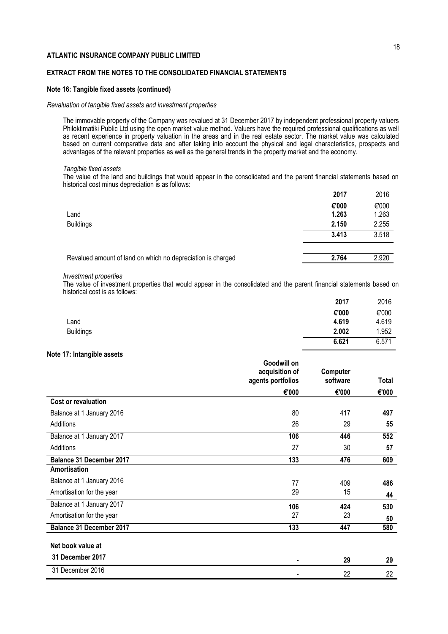# **EXTRACT FROM THE NOTES TO THE CONSOLIDATED FINANCIAL STATEMENTS**

### **Note 16: Tangible fixed assets (continued)**

### *Revaluation of tangible fixed assets and investment properties*

The immovable property of the Company was revalued at 31 December 2017 by independent professional property valuers Philoktimatiki Public Ltd using the open market value method. Valuers have the required professional qualifications as well as recent experience in property valuation in the areas and in the real estate sector. The market value was calculated based on current comparative data and after taking into account the physical and legal characteristics, prospects and advantages of the relevant properties as well as the general trends in the property market and the economy.

#### *Tangible fixed assets*

The value of the land and buildings that would appear in the consolidated and the parent financial statements based on historical cost minus depreciation is as follows:

|                                                             | 2017  | 2016  |
|-------------------------------------------------------------|-------|-------|
|                                                             | €'000 | €'000 |
| Land                                                        | 1.263 | 1.263 |
| <b>Buildings</b>                                            | 2.150 | 2.255 |
|                                                             | 3.413 | 3.518 |
|                                                             |       |       |
| Revalued amount of land on which no depreciation is charged | 2.764 | 2.920 |
|                                                             |       |       |

### *Investment properties*

The value of investment properties that would appear in the consolidated and the parent financial statements based on historical cost is as follows:

|                  | 2017  | 2016  |
|------------------|-------|-------|
|                  | €'000 | €'000 |
| ∟and             | 4.619 | 4.619 |
| <b>Buildings</b> | 2.002 | 1.952 |
|                  | 6.621 | 6.571 |
|                  |       |       |

### **Note 17: Intangible assets**

|                                 | Goodwill on<br>acquisition of<br>agents portfolios | Computer<br>software | Total |
|---------------------------------|----------------------------------------------------|----------------------|-------|
|                                 | €'000                                              | €'000                | €'000 |
| <b>Cost or revaluation</b>      |                                                    |                      |       |
| Balance at 1 January 2016       | 80                                                 | 417                  | 497   |
| Additions                       | 26                                                 | 29                   | 55    |
| Balance at 1 January 2017       | 106                                                | 446                  | 552   |
| Additions                       | 27                                                 | 30                   | 57    |
| <b>Balance 31 December 2017</b> | 133                                                | 476                  | 609   |
| Amortisation                    |                                                    |                      |       |
| Balance at 1 January 2016       | 77                                                 | 409                  | 486   |
| Amortisation for the year       | 29                                                 | 15                   | 44    |
| Balance at 1 January 2017       | 106                                                | 424                  | 530   |
| Amortisation for the year       | 27                                                 | 23                   | 50    |
| <b>Balance 31 December 2017</b> | 133                                                | 447                  | 580   |
| Net book value at               |                                                    |                      |       |
| 31 December 2017                | ٠                                                  | 29                   | 29    |
| 31 December 2016                |                                                    | 22                   | 22    |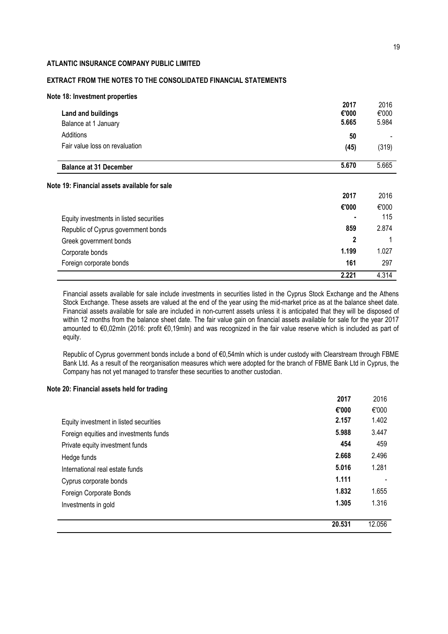# **EXTRACT FROM THE NOTES TO THE CONSOLIDATED FINANCIAL STATEMENTS**

| Note 18: Investment properties                    |                        |                        |
|---------------------------------------------------|------------------------|------------------------|
| <b>Land and buildings</b><br>Balance at 1 January | 2017<br>€'000<br>5.665 | 2016<br>€'000<br>5.984 |
| Additions                                         | 50                     |                        |
| Fair value loss on revaluation                    | (45)                   | (319)                  |
| <b>Balance at 31 December</b>                     | 5.670                  | 5.665                  |
| Note 19: Financial assets available for sale      |                        |                        |
|                                                   | 2017                   | 2016                   |
|                                                   | €'000                  | €'000                  |
| Equity investments in listed securities           | ٠                      | 115                    |
| Republic of Cyprus government bonds               | 859                    | 2.874                  |
| Greek government bonds                            | 2                      |                        |
| Corporate bonds                                   | 1.199                  | 1.027                  |
| Foreign corporate bonds                           | 161                    | 297                    |
|                                                   | 2.221                  | 4.314                  |

Financial assets available for sale include investments in securities listed in the Cyprus Stock Exchange and the Athens Stock Exchange. These assets are valued at the end of the year using the mid-market price as at the balance sheet date. Financial assets available for sale are included in non-current assets unless it is anticipated that they will be disposed of within 12 months from the balance sheet date. The fair value gain on financial assets available for sale for the year 2017 amounted to €0,02mln (2016: profit €0,19mln) and was recognized in the fair value reserve which is included as part of equity.

Republic of Cyprus government bonds include a bond of €0,54mln which is under custody with Clearstream through FBME Bank Ltd. As a result of the reorganisation measures which were adopted for the branch of FBME Bank Ltd in Cyprus, the Company has not yet managed to transfer these securities to another custodian.

### **Note 20: Financial assets held for trading**

|                                        | 2017   | 2016   |
|----------------------------------------|--------|--------|
|                                        | €'000  | €'000  |
| Equity investment in listed securities | 2.157  | 1.402  |
| Foreign equities and investments funds | 5.988  | 3.447  |
| Private equity investment funds        | 454    | 459    |
| Hedge funds                            | 2.668  | 2.496  |
| International real estate funds        | 5.016  | 1.281  |
| Cyprus corporate bonds                 | 1.111  |        |
| Foreign Corporate Bonds                | 1.832  | 1.655  |
| Investments in gold                    | 1.305  | 1.316  |
|                                        | 20.531 | 12.056 |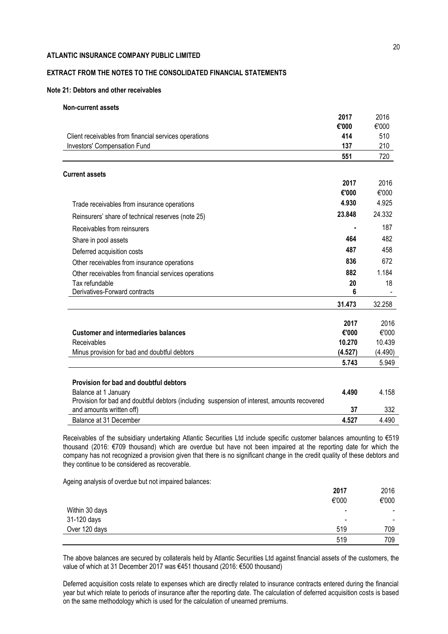# **EXTRACT FROM THE NOTES TO THE CONSOLIDATED FINANCIAL STATEMENTS**

### **Note 21: Debtors and other receivables**

### **Non-current assets**

|                                                                                                                     | 2017    | 2016    |
|---------------------------------------------------------------------------------------------------------------------|---------|---------|
|                                                                                                                     | €'000   | €'000   |
| Client receivables from financial services operations                                                               | 414     | 510     |
| Investors' Compensation Fund                                                                                        | 137     | 210     |
|                                                                                                                     | 551     | 720     |
| <b>Current assets</b>                                                                                               |         |         |
|                                                                                                                     | 2017    | 2016    |
|                                                                                                                     | €'000   | €'000   |
| Trade receivables from insurance operations                                                                         | 4.930   | 4.925   |
| Reinsurers' share of technical reserves (note 25)                                                                   | 23.848  | 24.332  |
| Receivables from reinsurers                                                                                         |         | 187     |
| Share in pool assets                                                                                                | 464     | 482     |
| Deferred acquisition costs                                                                                          | 487     | 458     |
| Other receivables from insurance operations                                                                         | 836     | 672     |
| Other receivables from financial services operations                                                                | 882     | 1.184   |
| Tax refundable                                                                                                      | 20      | 18      |
| Derivatives-Forward contracts                                                                                       | 6       |         |
|                                                                                                                     | 31.473  | 32.258  |
|                                                                                                                     | 2017    | 2016    |
| <b>Customer and intermediaries balances</b>                                                                         | €'000   | €'000   |
| Receivables                                                                                                         | 10.270  | 10.439  |
| Minus provision for bad and doubtful debtors                                                                        | (4.527) | (4.490) |
|                                                                                                                     | 5.743   | 5.949   |
|                                                                                                                     |         |         |
| Provision for bad and doubtful debtors                                                                              | 4.490   | 4.158   |
| Balance at 1 January<br>Provision for bad and doubtful debtors (including suspension of interest, amounts recovered |         |         |
| and amounts written off)                                                                                            | 37      | 332     |
| Balance at 31 December                                                                                              | 4.527   | 4.490   |

Receivables of the subsidiary undertaking Atlantic Securities Ltd include specific customer balances amounting to €519 thousand (2016: €709 thousand) which are overdue but have not been impaired at the reporting date for which the company has not recognized a provision given that there is no significant change in the credit quality of these debtors and they continue to be considered as recoverable.

Ageing analysis of overdue but not impaired balances:

|                | 2017                         | 2016                     |
|----------------|------------------------------|--------------------------|
|                | €'000                        | €'000                    |
| Within 30 days | ۰                            | $\overline{\phantom{0}}$ |
| 31-120 days    | $\qquad \qquad \blacksquare$ | $\overline{\phantom{0}}$ |
| Over 120 days  | 519                          | 709                      |
|                | 519                          | 709                      |

The above balances are secured by collaterals held by Atlantic Securities Ltd against financial assets of the customers, the value of which at 31 December 2017 was €451 thousand (2016: €500 thousand)

Deferred acquisition costs relate to expenses which are directly related to insurance contracts entered during the financial year but which relate to periods of insurance after the reporting date. The calculation of deferred acquisition costs is based on the same methodology which is used for the calculation of unearned premiums.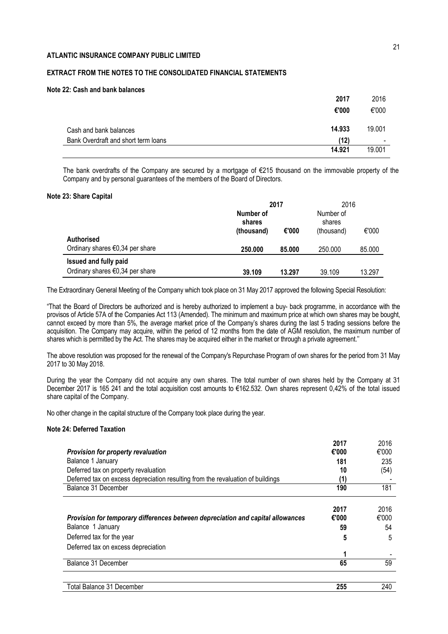# **EXTRACT FROM THE NOTES TO THE CONSOLIDATED FINANCIAL STATEMENTS**

### **Note 22: Cash and bank balances**

| 2017                                        | 2016                     |
|---------------------------------------------|--------------------------|
| €'000                                       | €'000                    |
| 14.933<br>Cash and bank balances            | 19.001                   |
| Bank Overdraft and short term loans<br>(12) | $\overline{\phantom{0}}$ |
| 14.921                                      | 19.001                   |

The bank overdrafts of the Company are secured by a mortgage of €215 thousand on the immovable property of the Company and by personal guarantees of the members of the Board of Directors.

### **Note 23: Share Capital**

|                                           | 2017                | 2016       |         |        |
|-------------------------------------------|---------------------|------------|---------|--------|
|                                           | Number of<br>shares |            |         |        |
|                                           | (thousand)          | (thousand) | €'000   |        |
| <b>Authorised</b>                         |                     |            |         |        |
| Ordinary shares $\epsilon$ 0,34 per share | 250.000             | 85.000     | 250.000 | 85.000 |
| <b>Issued and fully paid</b>              |                     |            |         |        |
| Ordinary shares $\epsilon$ 0,34 per share | 39.109              | 13.297     | 39.109  | 13.297 |

The Extraordinary General Meeting of the Company which took place on 31 May 2017 approved the following Special Resolution:

"That the Board of Directors be authorized and is hereby authorized to implement a buy- back programme, in accordance with the provisos of Article 57A of the Companies Act 113 (Amended). The minimum and maximum price at which own shares may be bought, cannot exceed by more than 5%, the average market price of the Company's shares during the last 5 trading sessions before the acquisition. The Company may acquire, within the period of 12 months from the date of AGM resolution, the maximum number of shares which is permitted by the Act. The shares may be acquired either in the market or through a private agreement.''

The above resolution was proposed for the renewal of the Company's Repurchase Program of own shares for the period from 31 May 2017 to 30 May 2018.

During the year the Company did not acquire any own shares. The total number of own shares held by the Company at 31 December 2017 is 165 241 and the total acquisition cost amounts to €162.532. Own shares represent 0,42% of the total issued share capital of the Company.

No other change in the capital structure of the Company took place during the year.

### **Note 24: Deferred Taxation**

|                                                                                 | 2017  | 2016  |
|---------------------------------------------------------------------------------|-------|-------|
| <b>Provision for property revaluation</b>                                       | €'000 | €'000 |
| Balance 1 January                                                               | 181   | 235   |
| Deferred tax on property revaluation                                            | 10    | (54)  |
| Deferred tax on excess depreciation resulting from the revaluation of buildings |       |       |
| Balance 31 December                                                             | 190   | 181   |
|                                                                                 | 2017  | 2016  |
| Provision for temporary differences between depreciation and capital allowances | €'000 | €'000 |
| Balance 1 January                                                               | 59    | 54    |
| Deferred tax for the year                                                       | 5     | 5     |
| Deferred tax on excess depreciation                                             |       |       |
|                                                                                 |       |       |
| Balance 31 December                                                             | 65    | 59    |

Total Balance 31 December **255** 240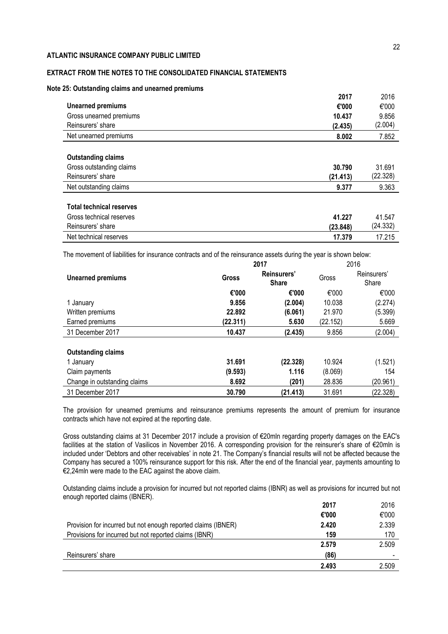# **EXTRACT FROM THE NOTES TO THE CONSOLIDATED FINANCIAL STATEMENTS**

### **Note 25: Outstanding claims and unearned premiums**

|                           | 2017     | 2016     |
|---------------------------|----------|----------|
| <b>Unearned premiums</b>  | €'000    | €'000    |
| Gross unearned premiums   | 10.437   | 9.856    |
| Reinsurers' share         | (2.435)  | (2.004)  |
| Net unearned premiums     | 8.002    | 7.852    |
| <b>Outstanding claims</b> |          |          |
| Gross outstanding claims  | 30.790   | 31.691   |
| Reinsurers' share         | (21.413) | (22.328) |
|                           | 9.377    | 9.363    |

| Gross technical reserves | 41.227   | 41.547   |
|--------------------------|----------|----------|
| Reinsurers' share        | (23.848) | (24.332) |
| Net technical reserves   | 17.379   | 17.215   |

The movement of liabilities for insurance contracts and of the reinsurance assets during the year is shown below:

|                              |          | 2017                        | 2016     |                      |  |
|------------------------------|----------|-----------------------------|----------|----------------------|--|
| <b>Unearned premiums</b>     | Gross    | Reinsurers'<br><b>Share</b> | Gross    | Reinsurers'<br>Share |  |
|                              | €'000    | €'000                       | €'000    | €'000                |  |
| 1 January                    | 9.856    | (2.004)                     | 10.038   | (2.274)              |  |
| Written premiums             | 22.892   | (6.061)                     | 21.970   | (5.399)              |  |
| Earned premiums              | (22.311) | 5.630                       | (22.152) | 5.669                |  |
| 31 December 2017             | 10.437   | (2.435)                     | 9.856    | (2.004)              |  |
|                              |          |                             |          |                      |  |
| <b>Outstanding claims</b>    |          |                             |          |                      |  |
| 1 January                    | 31.691   | (22.328)                    | 10.924   | (1.521)              |  |
| Claim payments               | (9.593)  | 1.116                       | (8.069)  | 154                  |  |
| Change in outstanding claims | 8.692    | (201)                       | 28.836   | (20.961)             |  |
| 31 December 2017             | 30.790   | (21.413)                    | 31.691   | (22.328)             |  |

The provision for unearned premiums and reinsurance premiums represents the amount of premium for insurance contracts which have not expired at the reporting date.

Gross outstanding claims at 31 December 2017 include a provision of €20mln regarding property damages on the EAC's facilities at the station of Vasilicos in November 2016. A corresponding provision for the reinsurer's share of €20mln is included under 'Debtors and other receivables' in note 21. The Company's financial results will not be affected because the Company has secured a 100% reinsurance support for this risk. After the end of the financial year, payments amounting to €2,24mln were made to the EAC against the above claim.

Outstanding claims include a provision for incurred but not reported claims (IBNR) as well as provisions for incurred but not enough reported claims (IBNER).

|                                                               | 2017  | 2016  |
|---------------------------------------------------------------|-------|-------|
|                                                               | €'000 | €'000 |
| Provision for incurred but not enough reported claims (IBNER) | 2.420 | 2.339 |
| Provisions for incurred but not reported claims (IBNR)        | 159   | 170   |
|                                                               | 2.579 | 2.509 |
| Reinsurers' share                                             | (86)  |       |
|                                                               | 2.493 | 2.509 |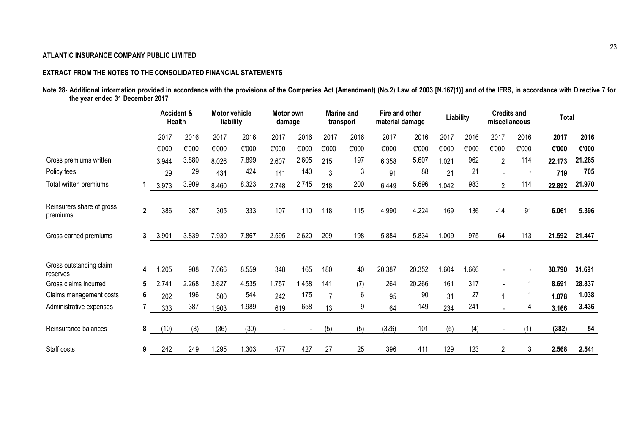# **EXTRACT FROM THE NOTES TO THE CONSOLIDATED FINANCIAL STATEMENTS**

|                                 |  | Note 28- Additional information provided in accordance with the provisions of the Companies Act (Amendment) (No.2) Law of 2003 [N.167(1)] and of the IFRS, in accordance with Directive 7 for |  |
|---------------------------------|--|-----------------------------------------------------------------------------------------------------------------------------------------------------------------------------------------------|--|
| the year ended 31 December 2017 |  |                                                                                                                                                                                               |  |

|                                       |                | Accident &<br><b>Health</b> |       | <b>Motor vehicle</b><br>Motor own<br>liability<br>damage |       |                | Fire and other<br><b>Marine and</b><br>material damage<br>transport |                |              | Liability |        | <b>Credits and</b><br>miscellaneous |       | <b>Total</b>   |       |        |        |
|---------------------------------------|----------------|-----------------------------|-------|----------------------------------------------------------|-------|----------------|---------------------------------------------------------------------|----------------|--------------|-----------|--------|-------------------------------------|-------|----------------|-------|--------|--------|
|                                       |                | 2017                        | 2016  | 2017                                                     | 2016  | 2017           | 2016                                                                | 2017           | 2016         | 2017      | 2016   | 2017                                | 2016  | 2017           | 2016  | 2017   | 2016   |
|                                       |                | €'000                       | €'000 | €'000                                                    | €'000 | €'000          | €'000                                                               | €'000          | €'000        | €'000     | €'000  | €'000                               | €'000 | €'000          | €'000 | €'000  | €'000  |
| Gross premiums written                |                | 3.944                       | 3.880 | 8.026                                                    | 7.899 | 2.607          | 2.605                                                               | 215            | 197          | 6.358     | 5.607  | 1.021                               | 962   | 2              | 114   | 22.173 | 21.265 |
| Policy fees                           |                | 29                          | 29    | 434                                                      | 424   | 141            | 140                                                                 | 3              | $\mathbf{3}$ | 91        | 88     | 21                                  | 21    |                |       | 719    | 705    |
| Total written premiums                |                | 3.973                       | 3.909 | 8.460                                                    | 8.323 | 2.748          | 2.745                                                               | 218            | 200          | 6.449     | 5.696  | 1.042                               | 983   | $\overline{2}$ | 114   | 22.892 | 21.970 |
| Reinsurers share of gross<br>premiums | $\overline{2}$ | 386                         | 387   | 305                                                      | 333   | 107            | 110                                                                 | 118            | 115          | 4.990     | 4.224  | 169                                 | 136   | $-14$          | 91    | 6.061  | 5.396  |
| Gross earned premiums                 | 3              | 3.901                       | 3.839 | 7.930                                                    | 7.867 | 2.595          | 2.620                                                               | 209            | 198          | 5.884     | 5.834  | 1.009                               | 975   | 64             | 113   | 21.592 | 21.447 |
| Gross outstanding claim<br>reserves   | 4              | .205                        | 908   | 7.066                                                    | 8.559 | 348            | 165                                                                 | 180            | 40           | 20.387    | 20.352 | 1.604                               | 1.666 |                |       | 30.790 | 31.691 |
| Gross claims incurred                 | 5              | 2.741                       | 2.268 | 3.627                                                    | 4.535 | 1.757          | .458                                                                | 141            | (7)          | 264       | 20.266 | 161                                 | 317   |                |       | 8.691  | 28.837 |
| Claims management costs               | 6              | 202                         | 196   | 500                                                      | 544   | 242            | 175                                                                 | $\overline{7}$ | 6            | 95        | 90     | 31                                  | 27    |                |       | 1.078  | 1.038  |
| Administrative expenses               |                | 333                         | 387   | 1.903                                                    | 1.989 | 619            | 658                                                                 | 13             | 9            | 64        | 149    | 234                                 | 241   |                | 4     | 3.166  | 3.436  |
| Reinsurance balances                  | 8              | (10)                        | (8)   | (36)                                                     | (30)  | $\blacksquare$ |                                                                     | (5)            | (5)          | (326)     | 101    | (5)                                 | (4)   |                | (1)   | (382)  | 54     |
| Staff costs                           | 9              | 242                         | 249   | 1.295                                                    | 1.303 | 477            | 427                                                                 | 27             | 25           | 396       | 411    | 129                                 | 123   | 2              | 3     | 2.568  | 2.541  |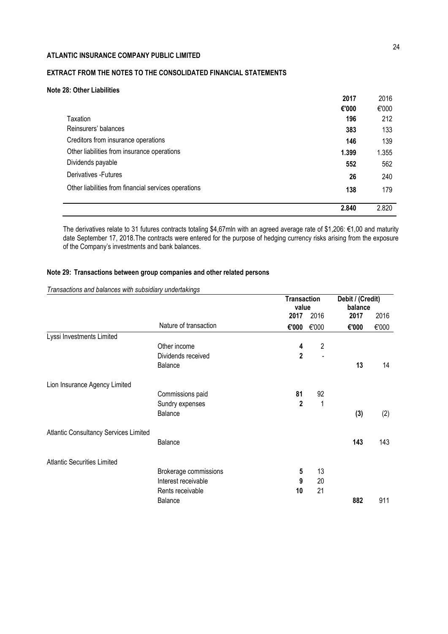# **EXTRACT FROM THE NOTES TO THE CONSOLIDATED FINANCIAL STATEMENTS**

# **Note 28: Other Liabilities**

|                                                      | 2017  | 2016  |
|------------------------------------------------------|-------|-------|
|                                                      | €'000 | €'000 |
| Taxation                                             | 196   | 212   |
| Reinsurers' balances                                 | 383   | 133   |
| Creditors from insurance operations                  | 146   | 139   |
| Other liabilities from insurance operations          | 1.399 | 1.355 |
| Dividends payable                                    | 552   | 562   |
| Derivatives - Futures                                | 26    | 240   |
| Other liabilities from financial services operations | 138   | 179   |
|                                                      |       |       |
|                                                      | 2.840 | 2.820 |

The derivatives relate to 31 futures contracts totaling \$4,67mln with an agreed average rate of \$1,206: €1,00 and maturity date September 17, 2018.The contracts were entered for the purpose of hedging currency risks arising from the exposure of the Company's investments and bank balances.

# **Note 29: Transactions between group companies and other related persons**

|                                              |                       | <b>Transaction</b><br>value |                | Debit / (Credit)<br>balance |       |  |
|----------------------------------------------|-----------------------|-----------------------------|----------------|-----------------------------|-------|--|
|                                              |                       | 2017                        | 2016           | 2017                        | 2016  |  |
|                                              | Nature of transaction | €'000                       | €'000          | €'000                       | €'000 |  |
| Lyssi Investments Limited                    |                       |                             |                |                             |       |  |
|                                              | Other income          | 4                           | $\overline{2}$ |                             |       |  |
|                                              | Dividends received    | $\overline{2}$              |                |                             |       |  |
|                                              | Balance               |                             |                | 13                          | 14    |  |
| Lion Insurance Agency Limited                |                       |                             |                |                             |       |  |
|                                              | Commissions paid      | 81                          | 92             |                             |       |  |
|                                              | Sundry expenses       | $\mathbf{2}$                | 1              |                             |       |  |
|                                              | Balance               |                             |                | (3)                         | (2)   |  |
| <b>Atlantic Consultancy Services Limited</b> |                       |                             |                |                             |       |  |
|                                              | Balance               |                             |                | 143                         | 143   |  |
| <b>Atlantic Securities Limited</b>           |                       |                             |                |                             |       |  |
|                                              | Brokerage commissions | 5                           | 13             |                             |       |  |
|                                              | Interest receivable   | 9                           | 20             |                             |       |  |
|                                              | Rents receivable      | 10                          | 21             |                             |       |  |
|                                              | Balance               |                             |                | 882                         | 911   |  |

*Transactions and balances with subsidiary undertakings*

 $\overline{\phantom{a}}$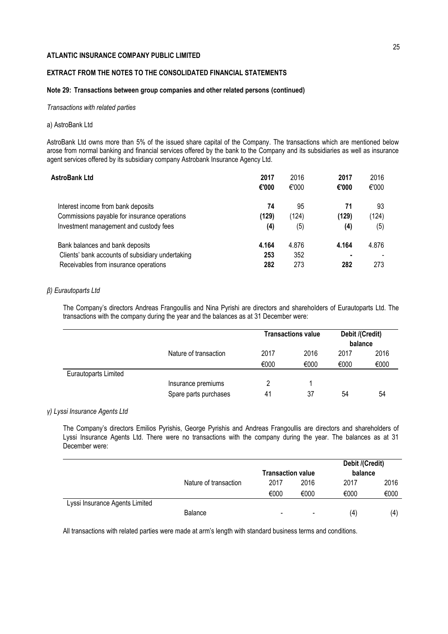# **EXTRACT FROM THE NOTES TO THE CONSOLIDATED FINANCIAL STATEMENTS**

### **Note 29: Transactions between group companies and other related persons (continued)**

### *Transactions with related parties*

### a) AstroBank Ltd

AstroBank Ltd owns more than 5% of the issued share capital of the Company. The transactions which are mentioned below arose from normal banking and financial services offered by the bank to the Company and its subsidiaries as well as insurance agent services offered by its subsidiary company Astrobank Insurance Agency Ltd.

| AstroBank Ltd                                    | 2017<br>€'000 | 2016<br>€'000 | 2017<br>€'000 | 2016<br>€'000 |
|--------------------------------------------------|---------------|---------------|---------------|---------------|
| Interest income from bank deposits               | 74            | 95            | 71            | 93            |
| Commissions payable for insurance operations     | (129)         | (124)         | (129)         | (124)         |
| Investment management and custody fees           | (4)           | (5)           | (4)           | (5)           |
| Bank balances and bank deposits                  | 4.164         | 4.876         | 4.164         | 4.876         |
| Clients' bank accounts of subsidiary undertaking | 253           | 352           | ۰             |               |
| Receivables from insurance operations            | 282           | 273           | 282           | 273           |

### *β) Eurautoparts Ltd*

The Company's directors Andreas Frangoullis and Nina Pyrishi are directors and shareholders of Eurautoparts Ltd. The transactions with the company during the year and the balances as at 31 December were:

|                      |                       | <b>Transactions value</b> |      | Debit /(Credit)<br>balance |      |
|----------------------|-----------------------|---------------------------|------|----------------------------|------|
|                      | Nature of transaction | 2017                      | 2016 | 2017                       | 2016 |
|                      |                       | €000                      | €000 | €000                       | €000 |
| Eurautoparts Limited |                       |                           |      |                            |      |
|                      | Insurance premiums    |                           |      |                            |      |
|                      | Spare parts purchases | 41                        | 37   | 54                         | 54   |

### *γ) Lyssi Insurance Agents Ltd*

The Company's directors Emilios Pyrishis, George Pyrishis and Andreas Frangoullis are directors and shareholders of Lyssi Insurance Agents Ltd. There were no transactions with the company during the year. The balances as at 31 December were:

|                                |                       |                              |                          | Debit /(Credit) |      |
|--------------------------------|-----------------------|------------------------------|--------------------------|-----------------|------|
|                                |                       | <b>Transaction value</b>     |                          | balance         |      |
|                                | Nature of transaction | 2017                         | 2016                     | 2017            | 2016 |
|                                |                       | €000                         | €000                     | €000            | €000 |
| Lyssi Insurance Agents Limited |                       |                              |                          |                 |      |
|                                | <b>Balance</b>        | $\qquad \qquad \blacksquare$ | $\overline{\phantom{a}}$ | (4)             | (4   |

All transactions with related parties were made at arm's length with standard business terms and conditions.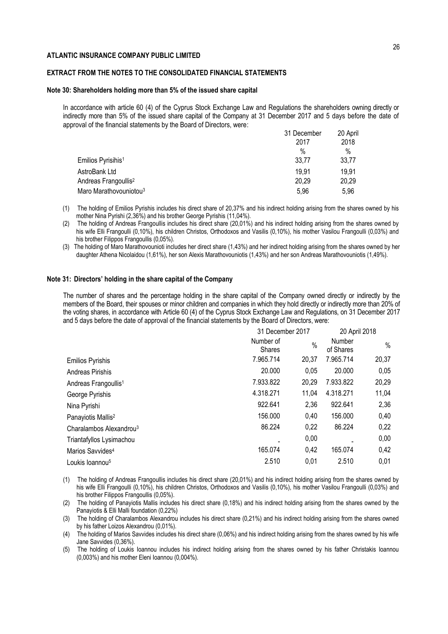# **EXTRACT FROM THE NOTES TO THE CONSOLIDATED FINANCIAL STATEMENTS**

# **Note 30: Shareholders holding more than 5% of the issued share capital**

In accordance with article 60 (4) of the Cyprus Stock Exchange Law and Regulations the shareholders owning directly or indirectly more than 5% of the issued share capital of the Company at 31 December 2017 and 5 days before the date of approval of the financial statements by the Board of Directors, were:

| 31 December | 20 April     |
|-------------|--------------|
|             | 2018<br>$\%$ |
| 33,77       | 33,77        |
| 19.91       | 19.91        |
| 20,29       | 20,29        |
| 5.96        | 5.96         |
|             | 2017<br>$\%$ |

(1) The holding of Emilios Pyrishis includes his direct share of 20,37% and his indirect holding arising from the shares owned by his mother Nina Pyrishi (2,36%) and his brother George Pyrishis (11,04%).

(2) The holding of Andreas Frangoullis includes his direct share (20,01%) and his indirect holding arising from the shares owned by his wife Elli Frangoulli (0,10%), his children Christos, Orthodoxos and Vasilis (0,10%), his mother Vasilou Frangoulli (0,03%) and his brother Filippos Frangoullis (0,05%).

(3) The holding of Maro Marathovounioti includes her direct share (1,43%) and her indirect holding arising from the shares owned by her daughter Athena Nicolaidou (1,61%), her son Alexis Marathovouniotis (1,43%) and her son Andreas Marathovouniotis (1,49%).

### **Note 31: Directors' holding in the share capital of the Company**

The number of shares and the percentage holding in the share capital of the Company owned directly or indirectly by the members of the Board, their spouses or minor children and companies in which they hold directly or indirectly more than 20% of the voting shares, in accordance with Article 60 (4) of the Cyprus Stock Exchange Law and Regulations, on 31 December 2017 and 5 days before the date of approval of the financial statements by the Board of Directors, were:

|                                     |                            | 31 December 2017 |                            | 20 April 2018 |
|-------------------------------------|----------------------------|------------------|----------------------------|---------------|
|                                     | Number of<br><b>Shares</b> | $\%$             | <b>Number</b><br>of Shares | $\%$          |
| <b>Emilios Pyrishis</b>             | 7.965.714                  | 20,37            | 7.965.714                  | 20,37         |
| Andreas Pirishis                    | 20.000                     | 0.05             | 20.000                     | 0,05          |
| Andreas Frangoullis <sup>1</sup>    | 7.933.822                  | 20,29            | 7.933.822                  | 20,29         |
| George Pyrishis                     | 4.318.271                  | 11,04            | 4.318.271                  | 11,04         |
| Nina Pyrishi                        | 922.641                    | 2,36             | 922.641                    | 2,36          |
| Panayiotis Mallis <sup>2</sup>      | 156.000                    | 0,40             | 156.000                    | 0,40          |
| Charalambos Alexandrou <sup>3</sup> | 86.224                     | 0,22             | 86.224                     | 0,22          |
| Triantafyllos Lysimachou            |                            | 0,00             |                            | 0,00          |
| Marios Savvides <sup>4</sup>        | 165.074                    | 0,42             | 165.074                    | 0,42          |
| Loukis Ioannou <sup>5</sup>         | 2.510                      | 0,01             | 2.510                      | 0,01          |

(1) The holding of Andreas Frangoullis includes his direct share (20,01%) and his indirect holding arising from the shares owned by his wife Elli Frangoulli (0,10%), his children Christos, Orthodoxos and Vasilis (0,10%), his mother Vasilou Frangoulli (0,03%) and his brother Filippos Frangoullis (0,05%).

(2) The holding of Panayiotis Mallis includes his direct share (0,18%) and his indirect holding arising from the shares owned by the Panayiotis & Elli Malli foundation (0,22%)

(3) The holding of Charalambos Alexandrou includes his direct share (0,21%) and his indirect holding arising from the shares owned by his father Loizos Alexandrou (0,01%).

(4) The holding of Marios Savvides includes his direct share (0,06%) and his indirect holding arising from the shares owned by his wife Jane Savvides (0,36%).

(5) The holding of Loukis Ioannou includes his indirect holding arising from the shares owned by his father Christakis Ioannou (0,003%) and his mother Eleni Ioannou (0,004%).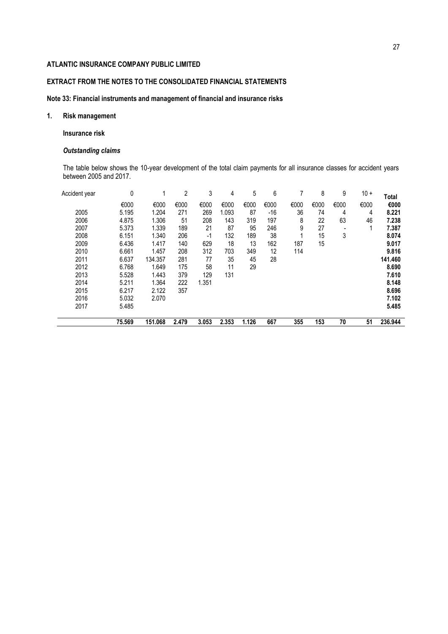# **EXTRACT FROM THE NOTES TO THE CONSOLIDATED FINANCIAL STATEMENTS**

# **Note 33: Financial instruments and management of financial and insurance risks**

# **1. Risk management**

# **Insurance risk**

# *Outstanding claims*

The table below shows the 10-year development of the total claim payments for all insurance classes for accident years between 2005 and 2017.

| Accident year | 0      |         | 2     | 3     | 4     | 5     | 6     |      | 8    | 9    | $10 +$ | Total   |
|---------------|--------|---------|-------|-------|-------|-------|-------|------|------|------|--------|---------|
|               | €000   | €000    | €000  | €000  | €000  | €000  | €000  | €000 | €000 | €000 | €000   | €000    |
| 2005          | 5.195  | 1.204   | 271   | 269   | 1.093 | 87    | $-16$ | 36   | 74   | 4    | 4      | 8.221   |
| 2006          | 4.875  | 1.306   | 51    | 208   | 143   | 319   | 197   | 8    | 22   | 63   | 46     | 7.238   |
| 2007          | 5.373  | 1.339   | 189   | 21    | 87    | 95    | 246   | 9    | 27   |      |        | 7.387   |
| 2008          | 6.151  | 1.340   | 206   | $-1$  | 132   | 189   | 38    |      | 15   | 3    |        | 8.074   |
| 2009          | 6.436  | 1.417   | 140   | 629   | 18    | 13    | 162   | 187  | 15   |      |        | 9.017   |
| 2010          | 6.661  | 1.457   | 208   | 312   | 703   | 349   | 12    | 114  |      |      |        | 9.816   |
| 2011          | 6.637  | 134.357 | 281   | 77    | 35    | 45    | 28    |      |      |      |        | 141.460 |
| 2012          | 6.768  | 1.649   | 175   | 58    | 11    | 29    |       |      |      |      |        | 8.690   |
| 2013          | 5.528  | 1.443   | 379   | 129   | 131   |       |       |      |      |      |        | 7.610   |
| 2014          | 5.211  | 1.364   | 222   | 1.351 |       |       |       |      |      |      |        | 8.148   |
| 2015          | 6.217  | 2.122   | 357   |       |       |       |       |      |      |      |        | 8.696   |
| 2016          | 5.032  | 2.070   |       |       |       |       |       |      |      |      |        | 7.102   |
| 2017          | 5.485  |         |       |       |       |       |       |      |      |      |        | 5.485   |
|               | 75.569 | 151.068 | 2.479 | 3.053 | 2.353 | 1.126 | 667   | 355  | 153  | 70   | 51     | 236.944 |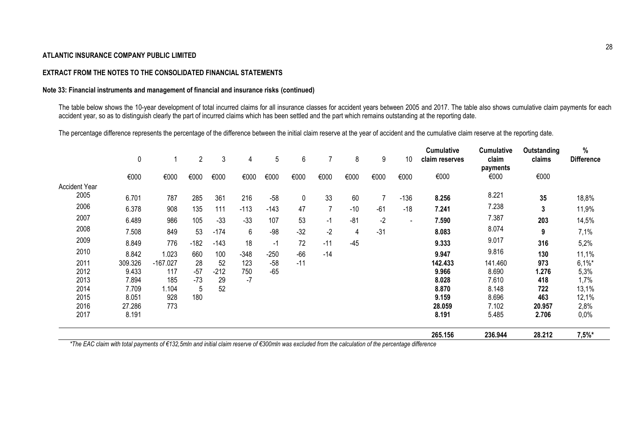# **EXTRACT FROM THE NOTES TO THE CONSOLIDATED FINANCIAL STATEMENTS**

# **Note 33: Financial instruments and management of financial and insurance risks (continued)**

The table below shows the 10-year development of total incurred claims for all insurance classes for accident years between 2005 and 2017. The table also shows cumulative claim payments for each accident year, so as to distinguish clearly the part of incurred claims which has been settled and the part which remains outstanding at the reporting date.

The percentage difference represents the percentage of the difference between the initial claim reserve at the year of accident and the cumulative claim reserve at the reporting date.

|                      | $\pmb{0}$ |            | $\overline{c}$ | 3      | 4      | 5      | 6     |       | 8     | 9     | 10                       | <b>Cumulative</b><br>claim reserves | Cumulative<br>claim<br>payments | Outstanding<br>claims | $\%$<br><b>Difference</b> |
|----------------------|-----------|------------|----------------|--------|--------|--------|-------|-------|-------|-------|--------------------------|-------------------------------------|---------------------------------|-----------------------|---------------------------|
|                      | €000      | €000       | €000           | €000   | €000   | €000   | €000  | €000  | €000  | €000  | €000                     | €000                                | €000                            | €000                  |                           |
| <b>Accident Year</b> |           |            |                |        |        |        |       |       |       |       |                          |                                     |                                 |                       |                           |
| 2005                 | 6.701     | 787        | 285            | 361    | 216    | $-58$  | 0     | 33    | 60    | 7     | $-136$                   | 8.256                               | 8.221                           | 35                    | 18,8%                     |
| 2006                 | 6.378     | 908        | 135            | 111    | $-113$ | $-143$ | 47    | 7     | $-10$ | $-61$ | $-18$                    | 7.241                               | 7.238                           | 3                     | 11,9%                     |
| 2007                 | 6.489     | 986        | 105            | $-33$  | $-33$  | 107    | 53    | $-1$  | $-81$ | $-2$  | $\overline{\phantom{a}}$ | 7.590                               | 7.387                           | 203                   | 14,5%                     |
| 2008                 | 7.508     | 849        | 53             | $-174$ | 6      | $-98$  | $-32$ | $-2$  | 4     | $-31$ |                          | 8.083                               | 8.074                           | 9                     | 7,1%                      |
| 2009                 | 8.849     | 776        | $-182$         | $-143$ | 18     | -1     | 72    | $-11$ | $-45$ |       |                          | 9.333                               | 9.017                           | 316                   | 5,2%                      |
| 2010                 | 8.842     | 1.023      | 660            | 100    | $-348$ | $-250$ | $-66$ | $-14$ |       |       |                          | 9.947                               | 9.816                           | 130                   | 11,1%                     |
| 2011                 | 309.326   | $-167.027$ | 28             | 52     | 123    | $-58$  | $-11$ |       |       |       |                          | 142.433                             | 141.460                         | 973                   | $6,1\%$ *                 |
| 2012                 | 9.433     | 117        | $-57$          | $-212$ | 750    | $-65$  |       |       |       |       |                          | 9.966                               | 8.690                           | 1.276                 | 5,3%                      |
| 2013                 | 7.894     | 185        | $-73$          | 29     | $-7$   |        |       |       |       |       |                          | 8.028                               | 7.610                           | 418                   | 1,7%                      |
| 2014                 | 7.709     | 1.104      | 5              | 52     |        |        |       |       |       |       |                          | 8.870                               | 8.148                           | 722                   | 13,1%                     |
| 2015                 | 8.051     | 928        | 180            |        |        |        |       |       |       |       |                          | 9.159                               | 8.696                           | 463                   | 12,1%                     |
| 2016                 | 27.286    | 773        |                |        |        |        |       |       |       |       |                          | 28.059                              | 7.102                           | 20.957                | 2,8%                      |
| 2017                 | 8.191     |            |                |        |        |        |       |       |       |       |                          | 8.191                               | 5.485                           | 2.706                 | 0,0%                      |
|                      |           |            |                |        |        |        |       |       |       |       |                          | 265.156                             | 236.944                         | 28.212                | $7,5%$ *                  |

*\*The EAC claim with total payments of €132,5mln and initial claim reserve of €300mln was excluded from the calculation of the percentage difference*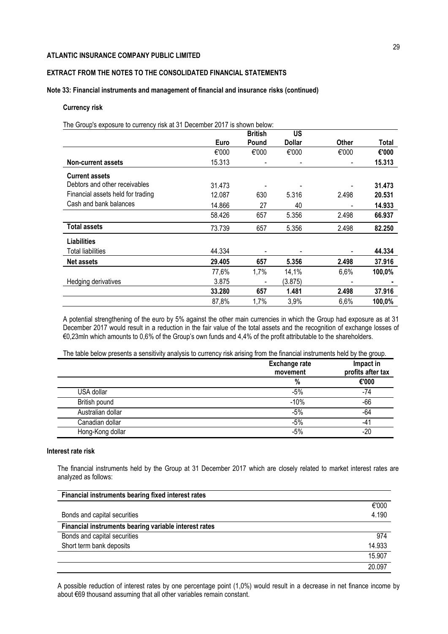# **EXTRACT FROM THE NOTES TO THE CONSOLIDATED FINANCIAL STATEMENTS**

### **Note 33: Financial instruments and management of financial and insurance risks (continued)**

### **Currency risk**

The Group's exposure to currency risk at 31 December 2017 is shown below:

|                                   |        | <b>British</b> | US            |                          |        |
|-----------------------------------|--------|----------------|---------------|--------------------------|--------|
|                                   | Euro   | Pound          | <b>Dollar</b> | <b>Other</b>             | Total  |
|                                   | €'000  | €'000          | €'000         | €'000                    | €'000  |
| Non-current assets                | 15.313 |                |               | $\overline{\phantom{a}}$ | 15,313 |
| <b>Current assets</b>             |        |                |               |                          |        |
| Debtors and other receivables     | 31.473 |                |               |                          | 31.473 |
| Financial assets held for trading | 12.087 | 630            | 5.316         | 2.498                    | 20.531 |
| Cash and bank balances            | 14.866 | 27             | 40            |                          | 14.933 |
|                                   | 58.426 | 657            | 5.356         | 2.498                    | 66.937 |
| <b>Total assets</b>               | 73.739 | 657            | 5.356         | 2.498                    | 82.250 |
| <b>Liabilities</b>                |        |                |               |                          |        |
| Total liabilities                 | 44.334 |                |               |                          | 44.334 |
| <b>Net assets</b>                 | 29.405 | 657            | 5.356         | 2.498                    | 37.916 |
|                                   | 77,6%  | 1,7%           | 14,1%         | 6,6%                     | 100,0% |
| Hedging derivatives               | 3.875  |                | (3.875)       |                          |        |
|                                   | 33.280 | 657            | 1.481         | 2.498                    | 37.916 |
|                                   | 87,8%  | 1,7%           | 3,9%          | 6,6%                     | 100,0% |

A potential strengthening of the euro by 5% against the other main currencies in which the Group had exposure as at 31 December 2017 would result in a reduction in the fair value of the total assets and the recognition of exchange losses of €0,23mln which amounts to 0,6% of the Group's own funds and 4,4% of the profit attributable to the shareholders.

The table below presents a sensitivity analysis to currency risk arising from the financial instruments held by the group.

|                   | <b>Exchange rate</b><br>movement | Impact in<br>profits after tax |
|-------------------|----------------------------------|--------------------------------|
|                   | %                                | €'000                          |
| USA dollar        | $-5%$                            | -74                            |
| British pound     | $-10%$                           | $-66$                          |
| Australian dollar | $-5%$                            | -64                            |
| Canadian dollar   | $-5%$                            | $-42$                          |
| Hong-Kong dollar  | $-5%$                            | $-20$                          |

# **Interest rate risk**

The financial instruments held by the Group at 31 December 2017 which are closely related to market interest rates are analyzed as follows:

| Financial instruments bearing fixed interest rates    |        |
|-------------------------------------------------------|--------|
|                                                       | €'000  |
| Bonds and capital securities                          | 4.190  |
| Financial instruments bearing variable interest rates |        |
| Bonds and capital securities                          | 974    |
| Short term bank deposits                              | 14.933 |
|                                                       | 15.907 |
|                                                       | 20.097 |

A possible reduction of interest rates by one percentage point (1,0%) would result in a decrease in net finance income by about €69 thousand assuming that all other variables remain constant.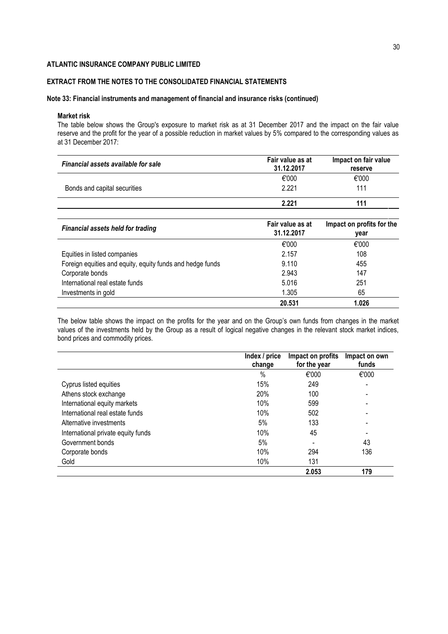# **EXTRACT FROM THE NOTES TO THE CONSOLIDATED FINANCIAL STATEMENTS**

### **Note 33: Financial instruments and management of financial and insurance risks (continued)**

### **Market risk**

The table below shows the Group's exposure to market risk as at 31 December 2017 and the impact on the fair value reserve and the profit for the year of a possible reduction in market values by 5% compared to the corresponding values as at 31 December 2017:

| Financial assets available for sale | Fair value as at<br>31.12.2017 | Impact on fair value<br>reserve |
|-------------------------------------|--------------------------------|---------------------------------|
|                                     | €'000                          | €'000                           |
| Bonds and capital securities        | 2.221                          | 111                             |
|                                     | 2.221                          | 111                             |
|                                     |                                |                                 |

| <b>Financial assets held for trading</b>                  | Fair value as at<br>31.12.2017 | Impact on profits for the<br>year |
|-----------------------------------------------------------|--------------------------------|-----------------------------------|
|                                                           | €'000                          | €'000                             |
| Equities in listed companies                              | 2.157                          | 108                               |
| Foreign equities and equity, equity funds and hedge funds | 9.110                          | 455                               |
| Corporate bonds                                           | 2.943                          | 147                               |
| International real estate funds                           | 5.016                          | 251                               |
| Investments in gold                                       | 1.305                          | 65                                |
|                                                           | 20.531                         | 1.026                             |

The below table shows the impact on the profits for the year and on the Group's own funds from changes in the market values of the investments held by the Group as a result of logical negative changes in the relevant stock market indices, bond prices and commodity prices.

|                                    | Index / price<br>change | Impact on profits<br>for the year | Impact on own<br>funds   |
|------------------------------------|-------------------------|-----------------------------------|--------------------------|
|                                    | $\%$                    | €'000                             | €'000                    |
| Cyprus listed equities             | 15%                     | 249                               | $\overline{\phantom{a}}$ |
| Athens stock exchange              | 20%                     | 100                               |                          |
| International equity markets       | 10%                     | 599                               |                          |
| International real estate funds    | 10%                     | 502                               |                          |
| Alternative investments            | 5%                      | 133                               |                          |
| International private equity funds | 10%                     | 45                                |                          |
| Government bonds                   | 5%                      |                                   | 43                       |
| Corporate bonds                    | 10%                     | 294                               | 136                      |
| Gold                               | 10%                     | 131                               |                          |
|                                    |                         | 2.053                             | 179                      |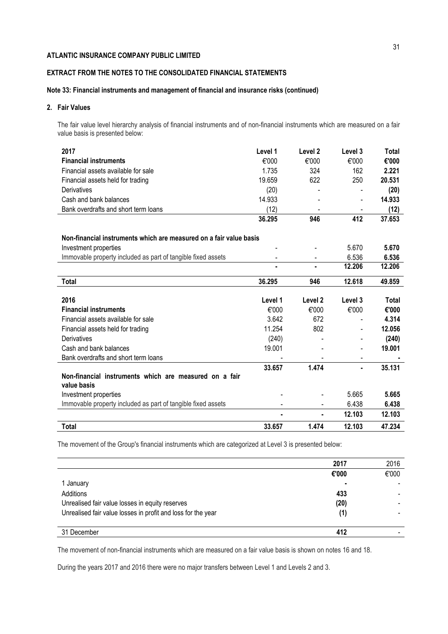# **EXTRACT FROM THE NOTES TO THE CONSOLIDATED FINANCIAL STATEMENTS**

# **Note 33: Financial instruments and management of financial and insurance risks (continued)**

### **2. Fair Values**

The fair value level hierarchy analysis of financial instruments and of non-financial instruments which are measured on a fair value basis is presented below:

| 2017                                                                  | Level 1 | Level 2            | Level 3                  | <b>Total</b> |
|-----------------------------------------------------------------------|---------|--------------------|--------------------------|--------------|
| <b>Financial instruments</b>                                          | €'000   | €'000              | €'000                    | €'000        |
| Financial assets available for sale                                   | 1.735   | 324                | 162                      | 2.221        |
| Financial assets held for trading                                     | 19.659  | 622                | 250                      | 20.531       |
| Derivatives                                                           | (20)    |                    |                          | (20)         |
| Cash and bank balances                                                | 14.933  |                    |                          | 14.933       |
| Bank overdrafts and short term loans                                  | (12)    |                    |                          | (12)         |
|                                                                       | 36.295  | 946                | 412                      | 37.653       |
| Non-financial instruments which are measured on a fair value basis    |         |                    |                          |              |
| Investment properties                                                 |         |                    | 5.670                    | 5.670        |
| Immovable property included as part of tangible fixed assets          |         |                    | 6.536                    | 6.536        |
|                                                                       |         |                    | 12.206                   | 12.206       |
| Total                                                                 | 36.295  | 946                | 12.618                   | 49.859       |
| 2016                                                                  | Level 1 | Level <sub>2</sub> | Level 3                  | Total        |
| <b>Financial instruments</b>                                          | €'000   | €'000              | €'000                    | €'000        |
| Financial assets available for sale                                   | 3.642   | 672                |                          | 4.314        |
| Financial assets held for trading                                     | 11.254  | 802                | $\overline{\phantom{a}}$ | 12.056       |
| Derivatives                                                           | (240)   |                    |                          | (240)        |
| Cash and bank balances                                                | 19.001  |                    |                          | 19.001       |
| Bank overdrafts and short term loans                                  |         |                    |                          |              |
|                                                                       | 33.657  | 1.474              | $\blacksquare$           | 35.131       |
| Non-financial instruments which are measured on a fair<br>value basis |         |                    |                          |              |
| Investment properties                                                 |         |                    | 5.665                    | 5.665        |
| Immovable property included as part of tangible fixed assets          |         |                    | 6.438                    | 6.438        |
|                                                                       | ٠       | $\blacksquare$     | 12.103                   | 12.103       |
| <b>Total</b>                                                          | 33.657  | 1.474              | 12.103                   | 47.234       |

The movement of the Group's financial instruments which are categorized at Level 3 is presented below:

|                                                              | 2017  | 2016  |
|--------------------------------------------------------------|-------|-------|
|                                                              | €'000 | €'000 |
| 1 January                                                    |       |       |
| Additions                                                    | 433   |       |
| Unrealised fair value losses in equity reserves              | (20)  |       |
| Unrealised fair value losses in profit and loss for the year | (1)   |       |
|                                                              |       |       |
| 31 December                                                  | 412   |       |

The movement of non-financial instruments which are measured on a fair value basis is shown on notes 16 and 18.

During the years 2017 and 2016 there were no major transfers between Level 1 and Levels 2 and 3.